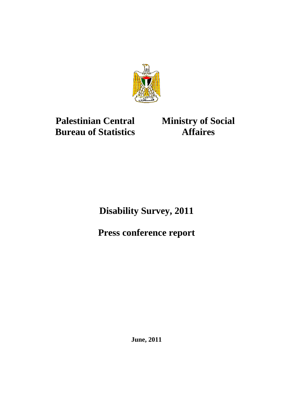

# **Palestinian Central Bureau of Statistics**

**Ministry of Social Affaires** 

**Disability Survey, 2011** 

**Press conference report** 

**June, 2011**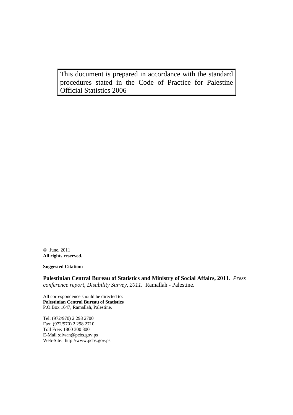This document is prepared in accordance with the standard procedures stated in the Code of Practice for Palestine Official Statistics 2006

© June, 2011 **All rights reserved.**

**Suggested Citation:** 

**Palestinian Central Bureau of Statistics and Ministry of Social Affairs, 2011**. *Press conference report, Disability Survey, 2011.* Ramallah - Palestine.

All correspondence should be directed to: **Palestinian Central Bureau of Statistics**  P.O.Box 1647, Ramallah, Palestine.

Tel: (972/970) 2 298 2700 Fax: (972/970) 2 298 2710 Toll Free: 1800 300 300 E-Mail :diwan@pcbs.gov.ps Web-Site: http://www.pcbs.gov.ps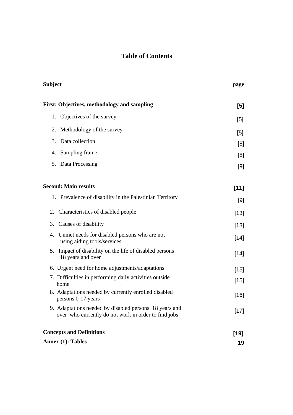# **Table of Contents**

| <b>Subject</b>                                                                                                 | page   |
|----------------------------------------------------------------------------------------------------------------|--------|
| First: Objectives, methodology and sampling                                                                    | [5]    |
| Objectives of the survey<br>1.                                                                                 | [5]    |
| 2. Methodology of the survey                                                                                   | [5]    |
| Data collection<br>3.                                                                                          | [8]    |
| Sampling frame<br>4.                                                                                           | [8]    |
| Data Processing<br>5.                                                                                          | [9]    |
| <b>Second: Main results</b>                                                                                    | $[11]$ |
| 1. Prevalence of disability in the Palestinian Territory                                                       | [9]    |
| Characteristics of disabled people<br>2.                                                                       | $[13]$ |
| 3. Causes of disability                                                                                        | $[13]$ |
| Unmet needs for disabled persons who are not<br>4.<br>using aiding tools/services                              | $[14]$ |
| Impact of disability on the life of disabled persons<br>5.<br>18 years and over                                | $[14]$ |
| 6. Urgent need for home adjustments/adaptations                                                                | $[15]$ |
| 7. Difficulties in performing daily activities outside<br>home                                                 | $[15]$ |
| 8. Adaptations needed by currently enrolled disabled<br>persons 0-17 years                                     | $[16]$ |
| 9. Adaptations needed by disabled persons 18 years and<br>over who currently do not work in order to find jobs | $[17]$ |
| <b>Concepts and Definitions</b>                                                                                | $[19]$ |
| Annex $(1)$ : Tables                                                                                           | 19     |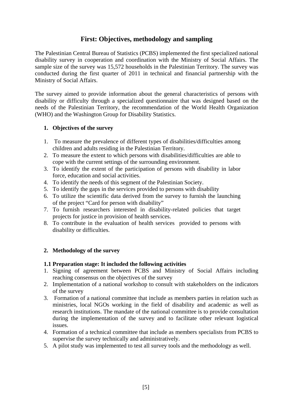## **First: Objectives, methodology and sampling**

The Palestinian Central Bureau of Statistics (PCBS) implemented the first specialized national disability survey in cooperation and coordination with the Ministry of Social Affairs. The sample size of the survey was 15,572 households in the Palestinian Territory. The survey was conducted during the first quarter of 2011 in technical and financial partnership with the Ministry of Social Affairs.

The survey aimed to provide information about the general characteristics of persons with disability or difficulty through a specialized questionnaire that was designed based on the needs of the Palestinian Territory, the recommendation of the World Health Organization (WHO) and the Washington Group for Disability Statistics.

#### **1. Objectives of the survey**

- 1. To measure the prevalence of different types of disabilities/difficulties among children and adults residing in the Palestinian Territory.
- 2. To measure the extent to which persons with disabilities/difficulties are able to cope with the current settings of the surrounding environment.
- 3. To identify the extent of the participation of persons with disability in labor force, education and social activities.
- 4. To identify the needs of this segment of the Palestinian Society.
- 5. To identify the gaps in the services provided to persons with disability
- 6. To utilize the scientific data derived from the survey to furnish the launching of the project "Card for person with disability"
- 7. To furnish researchers interested in disability-related policies that target projects for justice in provision of health services.
- 8. To contribute in the evaluation of health services provided to persons with disability or difficulties.

#### **2. Methodology of the survey**

#### **1.1 Preparation stage: It included the following activities**

- 1. Signing of agreement between PCBS and Ministry of Social Affairs including reaching consensus on the objectives of the survey
- 2. Implementation of a national workshop to consult with stakeholders on the indicators of the survey
- 3. Formation of a national committee that include as members parties in relation such as ministries, local NGOs working in the field of disability and academic as well as research institutions. The mandate of the national committee is to provide consultation during the implementation of the survey and to facilitate other relevant logistical issues.
- 4. Formation of a technical committee that include as members specialists from PCBS to supervise the survey technically and administratively.
- 5. A pilot study was implemented to test all survey tools and the methodology as well.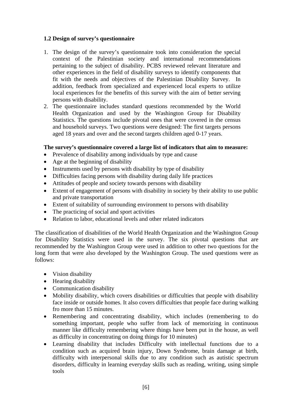#### **1.2 Design of survey's questionnaire**

- 1. The design of the survey's questionnaire took into consideration the special context of the Palestinian society and international recommendations pertaining to the subject of disability. PCBS reviewed relevant literature and other experiences in the field of disability surveys to identify components that fit with the needs and objectives of the Palestinian Disability Survey. In addition, feedback from specialized and experienced local experts to utilize local experiences for the benefits of this survey with the aim of better serving persons with disability.
- 2. The questionnaire includes standard questions recommended by the World Health Organization and used by the Washington Group for Disability Statistics. The questions include pivotal ones that were covered in the census and household surveys. Two questions were designed: The first targets persons aged 18 years and over and the second targets children aged 0-17 years.

#### **The survey's questionnaire covered a large list of indicators that aim to measure:**

- Prevalence of disability among individuals by type and cause
- Age at the beginning of disability
- Instruments used by persons with disability by type of disability
- Difficulties facing persons with disability during daily life practices
- Attitudes of people and society towards persons with disability
- Extent of engagement of persons with disability in society by their ability to use public and private transportation
- Extent of suitability of surrounding environment to persons with disability
- The practicing of social and sport activities
- Relation to labor, educational levels and other related indicators

The classification of disabilities of the World Health Organization and the Washington Group for Disability Statistics were used in the survey. The six pivotal questions that are recommended by the Washington Group were used in addition to other two questions for the long form that were also developed by the Washington Group. The used questions were as follows:

- Vision disability
- Hearing disability
- Communication disability
- Mobility disability, which covers disabilities or difficulties that people with disability face inside or outside homes. It also covers difficulties that people face during walking fro more than 15 minutes.
- Remembering and concentrating disability, which includes (remembering to do something important, people who suffer from lack of memorizing in continuous manner like difficulty remembering where things have been put in the house, as well as difficulty in concentrating on doing things for 10 minutes)
- Learning disability that includes Difficulty with intellectual functions due to a condition such as acquired brain injury, Down Syndrome, brain damage at birth, difficulty with interpersonal skills due to any condition such as autistic spectrum disorders, difficulty in learning everyday skills such as reading, writing, using simple tools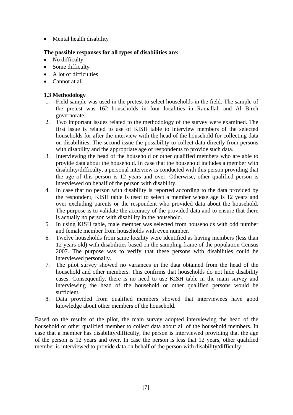• Mental health disability

### **The possible responses for all types of disabilities are:**

- No difficulty
- Some difficulty
- A lot of difficulties
- Cannot at all

## **1.3 Methodology**

- 1. Field sample was used in the pretest to select households in the field. The sample of the pretest was 162 households in four localities in Ramallah and Al Bireh governorate.
- 2. Two important issues related to the methodology of the survey were examined. The first issue is related to use of KISH table to interview members of the selected households for after the interview with the head of the household for collecting data on disabilities. The second issue the possibility to collect data directly from persons with disability and the appropriate age of respondents to provide such data.
- 3. Interviewing the head of the household or other qualified members who are able to provide data about the household. In case that the household includes a member with disability/difficulty, a personal interview is conducted with this person providing that the age of this person is 12 years and over. Otherwise, other qualified person is interviewed on behalf of the person with disability.
- 4. In case that no person with disability is reported according to the data provided by the respondent, KISH table is used to select a member whose age is 12 years and over excluding parents or the respondent who provided data about the household. The purpose is to validate the accuracy of the provided data and to ensure that there is actually no person with disability in the household.
- 5. In using KISH table, male member was selected from households with odd number and female member from households with even number.
- 6. Twelve households from same locality were identified as having members (less than 12 years old) with disabilities based on the sampling frame of the population Census 2007. The purpose was to verify that these persons with disabilities could be interviewed personally.
- 7. The pilot survey showed no variances in the data obtained from the head of the household and other members. This confirms that households do not hide disability cases. Consequently, there is no need to use KISH table in the main survey and interviewing the head of the household or other qualified persons would be sufficient.
- 8. Data provided from qualified members showed that interviewees have good knowledge about other members of the household.

Based on the results of the pilot, the main survey adopted interviewing the head of the household or other qualified member to collect data about all of the household members. In case that a member has disability/difficulty, the person is interviewed providing that the age of the person is 12 years and over. In case the person is less that 12 years, other qualified member is interviewed to provide data on behalf of the person with disability/difficulty.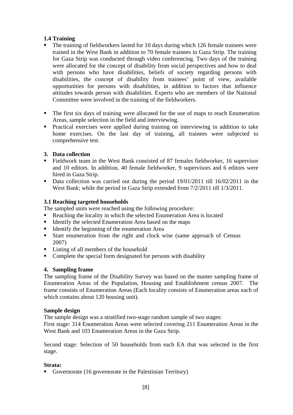## **1.4 Training**

- The training of fieldworkers lasted for 10 days during which 126 female trainees were trained in the West Bank in addition to 70 female trainees in Gaza Strip. The training for Gaza Strip was conducted through video conferencing. Two days of the training were allocated for the concept of disability from social perspectives and how to deal with persons who have disabilities, beliefs of society regarding persons with disabilities, the concept of disability from trainees' point of view, available opportunities for persons with disabilities, in addition to factors that influence attitudes towards person with disabilities. Experts who are members of the National Committee were involved in the training of the fieldworkers.
- The first six days of training were allocated for the use of maps to reach Enumeration Areas, sample selection in the field and interviewing.
- Practical exercises were applied during training on interviewing in addition to take home exercises. On the last day of training, all trainees were subjected to comprehensive test.

### **3. Data collection**

- Fieldwork team in the West Bank consisted of 87 females fieldworker, 16 supervisor and 10 editors. In addition, 40 female fieldworker, 9 supervisors and 6 editors were hired in Gaza Strip.
- Data collection was carried out during the period 19/01/2011 till 16/02/2011 in the West Bank; while the period in Gaza Strip extended from  $7/2/2011$  till  $1/3/2011$ .

### **3.1 Reaching targeted households**

The sampled units were reached using the following procedure:

- Reaching the locality in which the selected Enumeration Area is located
- **IDENTIFY** the selected Enumeration Area based on the maps
- Identify the beginning of the enumeration Area
- Start enumeration from the right and clock wise (same approach of Census 2007)
- Listing of all members of the household
- Complete the special form designated for persons with disability

#### **4. Sampling frame**

The sampling frame of the Disability Survey was based on the master sampling frame of Enumeration Areas of the Population, Housing and Establishment census 2007. The frame consists of Enumeration Areas (Each locality consists of Enumeration areas each of which contains about 120 housing unit).

#### **Sample design**

The sample design was a stratified two-stage random sample of two stages: First stage: 314 Enumeration Areas were selected covering 211 Enumeration Areas in the West Bank and 103 Enumeration Areas in the Gaza Strip.

Second stage: Selection of 50 households from each EA that was selected in the first stage.

#### **Strata:**

Governorate (16 governorate in the Palestinian Territory)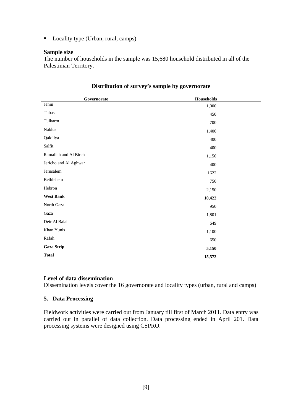■ Locality type (Urban, rural, camps)

#### **Sample size**

The number of households in the sample was 15,680 household distributed in all of the Palestinian Territory.

| Governorate           | Households |  |
|-----------------------|------------|--|
| Jenin                 | 1,000      |  |
| Tubas                 | 450        |  |
| Tulkarm               | 700        |  |
| $\rm Nablus$          | 1,400      |  |
| Qalqilya              | 400        |  |
| Salfit                | 400        |  |
| Ramallah and Al Bireh | 1,150      |  |
| Jericho and Al Aghwar | 400        |  |
| Jerusalem             | 1622       |  |
| Bethlehem             | 750        |  |
| Hebron                | 2,150      |  |
| <b>West Bank</b>      | 10,422     |  |
| North Gaza            | 950        |  |
| Gaza                  | 1,801      |  |
| Deir Al Balah         | 649        |  |
| Khan Yunis            | 1,100      |  |
| Rafah                 | 650        |  |
| <b>Gaza Strip</b>     | 5,150      |  |
| <b>Total</b>          | 15,572     |  |

#### **Distribution of survey's sample by governorate**

#### **Level of data dissemination**

Dissemination levels cover the 16 governorate and locality types (urban, rural and camps)

#### **5. Data Processing**

Fieldwork activities were carried out from January till first of March 2011. Data entry was carried out in parallel of data collection. Data processing ended in April 201. Data processing systems were designed using CSPRO.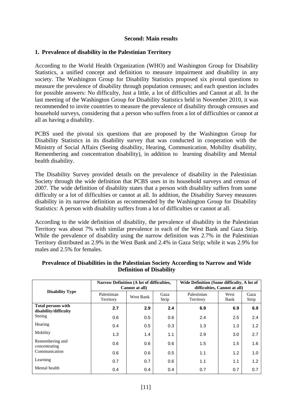#### **Second: Main results**

#### **1. Prevalence of disability in the Palestinian Territory**

According to the World Health Organization (WHO) and Washington Group for Disability Statistics, a unified concept and definition to measure impairment and disability in any society. The Washington Group for Disability Statistics proposed six pivotal questions to measure the prevalence of disability through population censuses; and each question includes for possible answers: No difficulty, Just a little, a lot of difficulties and Cannot at all. In the last meeting of the Washington Group for Disability Statistics held in November 2010, it was recommended to invite countries to measure the prevalence of disability through censuses and household surveys, considering that a person who suffers from a lot of difficulties or cannot at all as having a disability.

PCBS used the pivotal six questions that are proposed by the Washington Group for Disability Statistics in its disability survey that was conducted in cooperation with the Ministry of Social Affairs (Seeing disability, Hearing, Communication, Mobility disability, Remembering and concentration disability), in addition to learning disability and Mental health disability.

The Disability Survey provided details on the prevalence of disability in the Palestinian Society through the wide definition that PCBS uses in its household surveys and census of 2007. The wide definition of disability states that a person with disability suffers from some difficulty or a lot of difficulties or cannot at all. In addition, the Disability Survey measures disability in its narrow definition as recommended by the Washington Group for Disability Statistics: A person with disability suffers from a lot of difficulties or cannot at all.

According to the wide definition of disability, the prevalence of disability in the Palestinian Territory was about 7% with similar prevalence in each of the West Bank and Gaza Strip. While the prevalence of disability using the narrow definition was 2.7% in the Palestinian Territory distributed as 2.9% in the West Bank and 2.4% in Gaza Strip; while it was 2.9% for males and 2.5% for females.

|                                                    | Narrow Definition (A lot of difficulties, | Cannot at all)             |     | Wide Definition (Some difficulty, A lot of<br>difficulties, Cannot at all) |              |               |  |
|----------------------------------------------------|-------------------------------------------|----------------------------|-----|----------------------------------------------------------------------------|--------------|---------------|--|
| <b>Disability Type</b>                             | Palestinian<br>Territory                  | Gaza<br>West Bank<br>Strip |     | Palestinian<br>Territory                                                   | West<br>Bank | Gaza<br>Strip |  |
| <b>Total persons with</b><br>disability/difficulty | 2.7                                       | 2.9                        | 2.4 | 6.9                                                                        | 6.9          | 6.9           |  |
| Seeing                                             | 0.6                                       | 0.5                        | 0.6 | 2.4                                                                        | 2.5          | 2.4           |  |
| Hearing                                            | 0.4                                       | 0.5                        | 0.3 | 1.3                                                                        | 1.3          | 1.2           |  |
| Mobility                                           | 1.3                                       | 1.4                        | 1.1 | 2.9                                                                        | 3.0          | 2.7           |  |
| Remembering and<br>concentrating                   | 0.6                                       | 0.6                        | 0.6 | 1.5                                                                        | 1.5          | 1.6           |  |
| Communication                                      | 0.6                                       | 0.6                        | 0.5 | 1.1                                                                        | 1.2          | 1.0           |  |
| Learning                                           | 0.7                                       | 0.7                        | 0.6 | 1.1                                                                        | 1.1          | 1.2           |  |
| Mental health                                      | 0.4                                       | 0.4                        | 0.4 | 0.7                                                                        | 0.7          | 0.7           |  |

#### **Prevalence of Disabilities in the Palestinian Society According to Narrow and Wide Definition of Disability**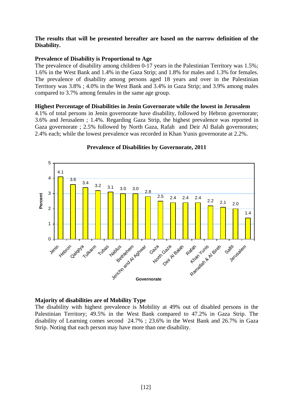#### **The results that will be presented hereafter are based on the narrow definition of the Disability.**

#### **Prevalence of Disability is Proportional to Age**

The prevalence of disability among children 0-17 years in the Palestinian Territory was 1.5%; 1.6% in the West Bank and 1.4% in the Gaza Strip; and 1.8% for males and 1.3% for females. The prevalence of disability among persons aged 18 years and over in the Palestinian Territory was 3.8% ; 4.0% in the West Bank and 3.4% in Gaza Strip; and 3.9% among males compared to 3.7% among females in the same age group.

#### **Highest Percentage of Disabilities in Jenin Governorate while the lowest in Jerusalem**

4.1% of total persons in Jenin governorate have disability, followed by Hebron governorate; 3.6% and Jerusalem ; 1.4%. Regarding Gaza Strip, the highest prevalence was reported in Gaza governorate ; 2.5% followed by North Gaza, Rafah and Deir Al Balah governorates; 2.4% each; while the lowest prevalence was recorded in Khan Yunis governorate at 2.2%.



#### **Prevalence of Disabilities by Governorate, 2011**

#### **Majority of disabilities are of Mobility Type**

The disability with highest prevalence is Mobility at 49% out of disabled persons in the Palestinian Territory; 49.5% in the West Bank compared to 47.2% in Gaza Strip. The disability of Learning comes second 24.7% ; 23.6% in the West Bank and 26.7% in Gaza Strip. Noting that each person may have more than one disability.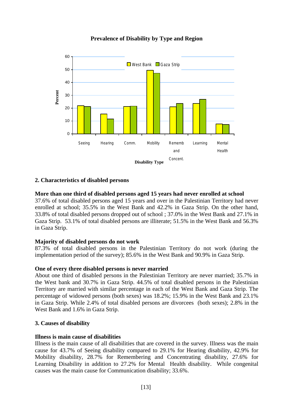

## **Prevalence of Disability by Type and Region**

#### **2. Characteristics of disabled persons**

#### **More than one third of disabled persons aged 15 years had never enrolled at school**

37.6% of total disabled persons aged 15 years and over in the Palestinian Territory had never enrolled at school; 35.5% in the West Bank and 42.2% in Gaza Strip. On the other hand, 33.8% of total disabled persons dropped out of school ; 37.0% in the West Bank and 27.1% in Gaza Strip. 53.1% of total disabled persons are illiterate; 51.5% in the West Bank and 56.3% in Gaza Strip.

#### **Majority of disabled persons do not work**

87.3% of total disabled persons in the Palestinian Territory do not work (during the implementation period of the survey); 85.6% in the West Bank and 90.9% in Gaza Strip.

#### **One of every three disabled persons is never married**

About one third of disabled persons in the Palestinian Territory are never married; 35.7% in the West bank and 30.7% in Gaza Strip. 44.5% of total disabled persons in the Palestinian Territory are married with similar percentage in each of the West Bank and Gaza Strip. The percentage of widowed persons (both sexes) was 18.2%; 15.9% in the West Bank and 23.1% in Gaza Strip. While 2.4% of total disabled persons are divorcees (both sexes); 2.8% in the West Bank and 1.6% in Gaza Strip.

#### **3. Causes of disability**

#### **Illness is main cause of disabilities**

Illness is the main cause of all disabilities that are covered in the survey. Illness was the main cause for 43.7% of Seeing disability compared to 29.1% for Hearing disability, 42.9% for Mobility disability, 28.7% for Remembering and Concentrating disability, 27.6% for Learning Disability in addition to 27.2% for Mental Health disability. While congenital causes was the main cause for Communication disability; 33.6%.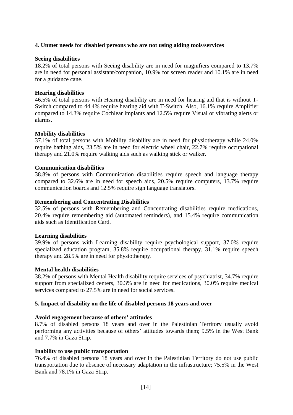#### **4. Unmet needs for disabled persons who are not using aiding tools/services**

#### **Seeing disabilities**

18.2% of total persons with Seeing disability are in need for magnifiers compared to 13.7% are in need for personal assistant/companion, 10.9% for screen reader and 10.1% are in need for a guidance cane.

#### **Hearing disabilities**

46.5% of total persons with Hearing disability are in need for hearing aid that is without T-Switch compared to 44.4% require hearing aid with T-Switch. Also, 16.1% require Amplifier compared to 14.3% require Cochlear implants and 12.5% require Visual or vibrating alerts or alarms.

#### **Mobility disabilities**

37.1% of total persons with Mobility disability are in need for physiotherapy while 24.0% require bathing aids, 23.5% are in need for electric wheel chair, 22.7% require occupational therapy and 21.0% require walking aids such as walking stick or walker.

#### **Communication disabilities**

38.8% of persons with Communication disabilities require speech and language therapy compared to 32.6% are in need for speech aids, 20.5% require computers, 13.7% require communication boards and 12.5% require sign language translators.

#### **Remembering and Concentrating Disabilities**

32.5% of persons with Remembering and Concentrating disabilities require medications, 20.4% require remembering aid (automated reminders), and 15.4% require communication aids such as Identification Card.

#### **Learning disabilities**

39.9% of persons with Learning disability require psychological support, 37.0% require specialized education program, 35.8% require occupational therapy, 31.1% require speech therapy and 28.5% are in need for physiotherapy.

#### **Mental health disabilities**

38.2% of persons with Mental Health disability require services of psychiatrist, 34.7% require support from specialized centers, 30.3% are in need for medications, 30.0% require medical services compared to 27.5% are in need for social services.

#### **5. Impact of disability on the life of disabled persons 18 years and over**

#### **Avoid engagement because of others' attitudes**

8.7% of disabled persons 18 years and over in the Palestinian Territory usually avoid performing any activities because of others' attitudes towards them; 9.5% in the West Bank and 7.7% in Gaza Strip.

#### **Inability to use public transportation**

76.4% of disabled persons 18 years and over in the Palestinian Territory do not use public transportation due to absence of necessary adaptation in the infrastructure; 75.5% in the West Bank and 78.1% in Gaza Strip.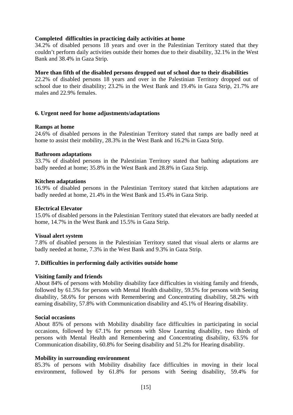#### **Completed difficulties in practicing daily activities at home**

34.2% of disabled persons 18 years and over in the Palestinian Territory stated that they couldn't perform daily activities outside their homes due to their disability, 32.1% in the West Bank and 38.4% in Gaza Strip.

#### **More than fifth of the disabled persons dropped out of school due to their disabilities**

22.2% of disabled persons 18 years and over in the Palestinian Territory dropped out of school due to their disability; 23.2% in the West Bank and 19.4% in Gaza Strip, 21.7% are males and 22.9% females.

#### **6. Urgent need for home adjustments/adaptations**

#### **Ramps at home**

24.6% of disabled persons in the Palestinian Territory stated that ramps are badly need at home to assist their mobility, 28.3% in the West Bank and 16.2% in Gaza Strip.

#### **Bathroom adaptations**

33.7% of disabled persons in the Palestinian Territory stated that bathing adaptations are badly needed at home; 35.8% in the West Bank and 28.8% in Gaza Strip.

#### **Kitchen adaptations**

16.9% of disabled persons in the Palestinian Territory stated that kitchen adaptations are badly needed at home, 21.4% in the West Bank and 15.4% in Gaza Strip.

#### **Electrical Elevator**

15.0% of disabled persons in the Palestinian Territory stated that elevators are badly needed at home, 14.7% in the West Bank and 15.5% in Gaza Strip.

#### **Visual alert system**

7.8% of disabled persons in the Palestinian Territory stated that visual alerts or alarms are badly needed at home, 7.3% in the West Bank and 9.3% in Gaza Strip.

#### **7. Difficulties in performing daily activities outside home**

#### **Visiting family and friends**

About 84% of persons with Mobility disability face difficulties in visiting family and friends, followed by 61.5% for persons with Mental Health disability, 59.5% for persons with Seeing disability, 58.6% for persons with Remembering and Concentrating disability, 58.2% with earning disability, 57.8% with Communication disability and 45.1% of Hearing disability.

#### **Social occasions**

About 85% of persons with Mobility disability face difficulties in participating in social occasions, followed by 67.1% for persons with Slow Learning disability, two thirds of persons with Mental Health and Remembering and Concentrating disability, 63.5% for Communication disability, 60.8% for Seeing disability and 51.2% for Hearing disability.

#### **Mobility in surrounding environment**

85.3% of persons with Mobility disability face difficulties in moving in their local environment, followed by 61.8% for persons with Seeing disability, 59.4% for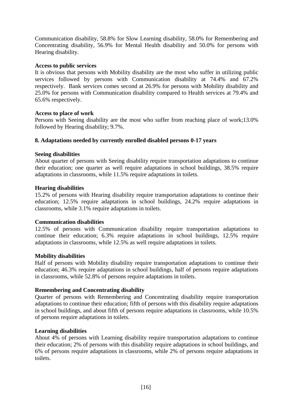Communication disability, 58.8% for Slow Learning disability, 58.0% for Remembering and Concentrating disability, 56.9% for Mental Health disability and 50.0% for persons with Hearing disability.

#### **Access to public services**

It is obvious that persons with Mobility disability are the most who suffer in utilizing public services followed by persons with Communication disability at 74.4% and 67.2% respectively. Bank services comes second at 26.9% for persons with Mobility disability and 25.0% for persons with Communication disability compared to Health services at 79.4% and 65.6% respectively.

#### **Access to place of work**

Persons with Seeing disability are the most who suffer from reaching place of work;13.0% followed by Hearing disability; 9.7%.

#### **8. Adaptations needed by currently enrolled disabled persons 0-17 years**

#### **Seeing disabilities**

About quarter of persons with Seeing disability require transportation adaptations to continue their education; one quarter as well require adaptations in school buildings, 38.5% require adaptations in classrooms, while 11.5% require adaptations in toilets.

#### **Hearing disabilities**

15.2% of persons with Hearing disability require transportation adaptations to continue their education; 12.5% require adaptations in school buildings, 24.2% require adaptations in classrooms, while 3.1% require adaptations in toilets.

#### **Communication disabilities**

12.5% of persons with Communication disability require transportation adaptations to continue their education; 6.3% require adaptations in school buildings, 12.5% require adaptations in classrooms, while 12.5% as well require adaptations in toilets.

#### **Mobility disabilities**

Half of persons with Mobility disability require transportation adaptations to continue their education; 46.3% require adaptations in school buildings, half of persons require adaptations in classrooms, while 52.8% of persons require adaptations in toilets.

#### **Remembering and Concentrating disability**

Quarter of persons with Remembering and Concentrating disability require transportation adaptations to continue their education; fifth of persons with this disability require adaptations in school buildings, and about fifth of persons require adaptations in classrooms, while 10.5% of persons require adaptations in toilets.

#### **Learning disabilities**

About 4% of persons with Learning disability require transportation adaptations to continue their education; 2% of persons with this disability require adaptations in school buildings, and 6% of persons require adaptations in classrooms, while 2% of persons require adaptations in toilets.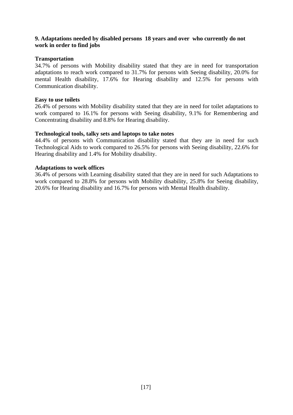### **9. Adaptations needed by disabled persons 18 years and over who currently do not work in order to find jobs**

#### **Transportation**

34.7% of persons with Mobility disability stated that they are in need for transportation adaptations to reach work compared to 31.7% for persons with Seeing disability, 20.0% for mental Health disability, 17.6% for Hearing disability and 12.5% for persons with Communication disability.

#### **Easy to use toilets**

26.4% of persons with Mobility disability stated that they are in need for toilet adaptations to work compared to 16.1% for persons with Seeing disability, 9.1% for Remembering and Concentrating disability and 8.8% for Hearing disability.

#### **Technological tools, talky sets and laptops to take notes**

44.4% of persons with Communication disability stated that they are in need for such Technological Aids to work compared to 26.5% for persons with Seeing disability, 22.6% for Hearing disability and 1.4% for Mobility disability.

#### **Adaptations to work offices**

36.4% of persons with Learning disability stated that they are in need for such Adaptations to work compared to 28.8% for persons with Mobility disability, 25.8% for Seeing disability, 20.6% for Hearing disability and 16.7% for persons with Mental Health disability.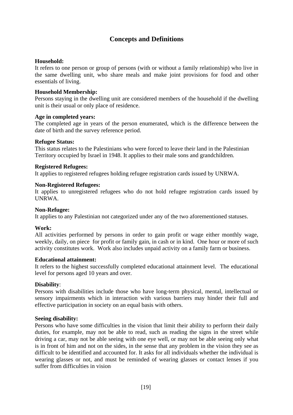# **Concepts and Definitions**

#### **Household:**

It refers to one person or group of persons (with or without a family relationship) who live in the same dwelling unit, who share meals and make joint provisions for food and other essentials of living.

#### **Household Membership:**

Persons staying in the dwelling unit are considered members of the household if the dwelling unit is their usual or only place of residence.

#### **Age in completed years:**

The completed age in years of the person enumerated, which is the difference between the date of birth and the survey reference period.

#### **Refugee Status:**

This status relates to the Palestinians who were forced to leave their land in the Palestinian Territory occupied by Israel in 1948. It applies to their male sons and grandchildren.

#### **Registered Refugees:**

It applies to registered refugees holding refugee registration cards issued by UNRWA.

#### **Non-Registered Refugees:**

It applies to unregistered refugees who do not hold refugee registration cards issued by UNRWA.

#### **Non-Refugee:**

It applies to any Palestinian not categorized under any of the two aforementioned statuses.

#### **Work:**

All activities performed by persons in order to gain profit or wage either monthly wage, weekly, daily, on piece for profit or family gain, in cash or in kind. One hour or more of such activity constitutes work. Work also includes unpaid activity on a family farm or business.

#### **Educational attainment:**

It refers to the highest successfully completed educational attainment level. The educational level for persons aged 10 years and over.

#### **Disability**:

Persons with disabilities include those who have long-term physical, mental, intellectual or sensory impairments which in interaction with various barriers may hinder their full and effective participation in society on an equal basis with others.

#### **Seeing disability:**

Persons who have some difficulties in the vision that limit their ability to perform their daily duties, for example, may not be able to read, such as reading the signs in the street while driving a car, may not be able seeing with one eye well, or may not be able seeing only what is in front of him and not on the sides, in the sense that any problem in the vision they see as difficult to be identified and accounted for. It asks for all individuals whether the individual is wearing glasses or not, and must be reminded of wearing glasses or contact lenses if you suffer from difficulties in vision.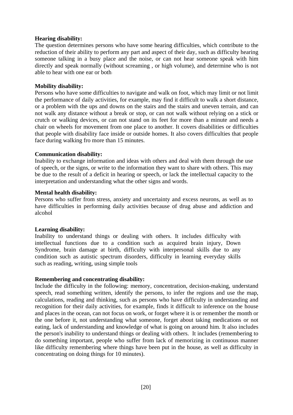#### **Hearing disability:**

The question determines persons who have some hearing difficulties, which contribute to the reduction of their ability to perform any part and aspect of their day, such as difficulty hearing someone talking in a busy place and the noise, or can not hear someone speak with him directly and speak normally (without screaming , or high volume), and determine who is not able to hear with one ear or both.

#### **Mobility disability:**

Persons who have some difficulties to navigate and walk on foot, which may limit or not limit the performance of daily activities, for example, may find it difficult to walk a short distance, or a problem with the ups and downs on the stairs and the stairs and uneven terrain, and can not walk any distance without a break or stop, or can not walk without relying on a stick or crutch or walking devices, or can not stand on its feet for more than a minute and needs a chair on wheels for movement from one place to another. It covers disabilities or difficulties that people with disability face inside or outside homes. It also covers difficulties that people face during walking fro more than 15 minutes.

#### **Communication disability:**

Inability to exchange information and ideas with others and deal with them through the use of speech, or the signs, or write to the information they want to share with others. This may be due to the result of a deficit in hearing or speech, or lack the intellectual capacity to the interpretation and understanding what the other signs and words.

#### **Mental health disability:**

Persons who suffer from stress, anxiety and uncertainty and excess neurons, as well as to have difficulties in performing daily activities because of drug abuse and addiction and alcohol

#### **Learning disability:**

Inability to understand things or dealing with others. It includes difficulty with intellectual functions due to a condition such as acquired brain injury, Down Syndrome, brain damage at birth, difficulty with interpersonal skills due to any condition such as autistic spectrum disorders, difficulty in learning everyday skills such as reading, writing, using simple tools

#### **Remembering and concentrating disability:**

Include the difficulty in the following: memory, concentration, decision-making, understand speech, read something written, identify the persons, to infer the regions and use the map, calculations, reading and thinking, such as persons who have difficulty in understanding and recognition for their daily activities, for example, finds it difficult to inference on the house and places in the ocean, can not focus on work, or forget where it is or remember the month or the one before it, not understanding what someone, forget about taking medications or not eating, lack of understanding and knowledge of what is going on around him. It also includes the person's inability to understand things or dealing with others. It includes (remembering to do something important, people who suffer from lack of memorizing in continuous manner like difficulty remembering where things have been put in the house, as well as difficulty in concentrating on doing things for 10 minutes).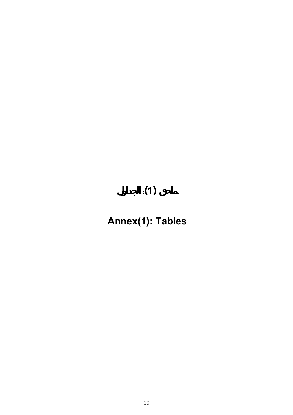# **ملحق (1): الجداول**

# **Annex(1): Tables**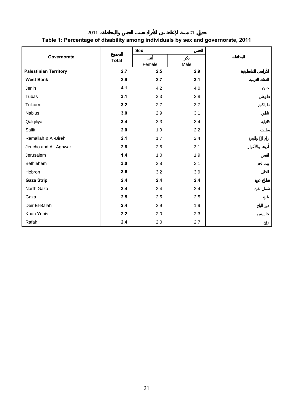**جدول :1 نسبة الإعاقة بين الأفراد حسب الجنس والمحافظة، 2011** 

# **Table 1: Percentage of disability among individuals by sex and governorate, 2011**

|                              |              | <b>Sex</b> |      |  |
|------------------------------|--------------|------------|------|--|
| Governorate                  | <b>Total</b> | Female     | Male |  |
| <b>Palestinian Territory</b> | 2.7          | 2.5        | 2.9  |  |
| <b>West Bank</b>             | 2.9          | 2.7        | 3.1  |  |
| Jenin                        | 4.1          | 4.2        | 4.0  |  |
| Tubas                        | 3.1          | 3.3        | 2.8  |  |
| Tulkarm                      | 3.2          | 2.7        | 3.7  |  |
| Nablus                       | 3.0          | 2.9        | 3.1  |  |
| Qalqiliya                    | 3.4          | 3.3        | 3.4  |  |
| Salfit                       | 2.0          | 1.9        | 2.2  |  |
| Ramallah & Al-Bireh          | 2.1          | 1.7        | 2.4  |  |
| Jericho and Al Aghwar        | 2.8          | 2.5        | 3.1  |  |
| Jerusalem                    | 1.4          | 1.0        | 1.9  |  |
| Bethlehem                    | 3.0          | 2.8        | 3.1  |  |
| Hebron                       | 3.6          | 3.2        | 3.9  |  |
| <b>Gaza Strip</b>            | 2.4          | 2.4        | 2.4  |  |
| North Gaza                   | 2.4          | 2.4        | 2.4  |  |
| Gaza                         | 2.5          | 2.5        | 2.5  |  |
| Deir El-Balah                | 2.4          | 2.9        | 1.9  |  |
| Khan Yunis                   | 2.2          | 2.0        | 2.3  |  |
| Rafah                        | 2.4          | 2.0        | 2.7  |  |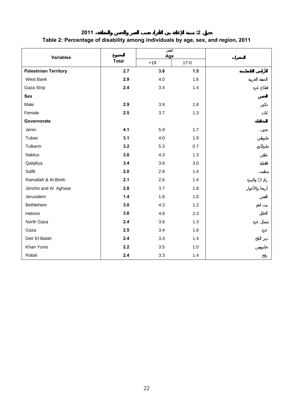| 2011                                                                              |  |
|-----------------------------------------------------------------------------------|--|
| Table 2: Percentage of disability among individuals by age, sex, and region, 2011 |  |

|                              |              | العمر<br>Age |          |  |
|------------------------------|--------------|--------------|----------|--|
| <b>Variables</b>             | <b>Total</b> | $+18$        | $17 - 0$ |  |
| <b>Palestinian Territory</b> | 2.7          | 3.8          | 1.5      |  |
| West Bank                    | 2.9          | 4.0          | 1.6      |  |
| Gaza Strip                   | $2.4\,$      | 3.4          | 1.4      |  |
| <b>Sex</b>                   |              |              |          |  |
| Male                         | 2.9          | 3.9          | 1.8      |  |
| Female                       | 2.5          | 3.7          | 1.3      |  |
| Governorate                  |              |              |          |  |
| Jenin                        | 4.1          | 5.9          | 1.7      |  |
| Tubas                        | 3.1          | 4.0          | 1.9      |  |
| Tulkarm                      | 3.2          | 5.3          | 0.7      |  |
| Nablus                       | 3.0          | 4.3          | 1.3      |  |
| Qalqiliya                    | 3.4          | 3.6          | 3.0      |  |
| Salfit                       | 2.0          | 2.8          | 1.4      |  |
| Ramallah & Al-Bireh          | 2.1          | 2.6          | 1.4      |  |
| Jericho and Al Aghwar        | 2.8          | 3.7          | 1.8      |  |
| Jerusalem                    | $1.4$        | 1.8          | 1.0      |  |
| Bethlehem                    | 3.0          | 4.3          | 1.2      |  |
| Hebron                       | 3.6          | 4.8          | 2.3      |  |
| North Gaza                   | 2.4          | 3.6          | 1.3      |  |
| Gaza                         | 2.5          | 3.4          | 1.6      |  |
| Deir El-Balah                | 2.4          | 3.3          | 1.4      |  |
| Khan Yunis                   | 2.2          | 3.5          | 1.0      |  |
| Rafah                        | 2.4          | 3.3          | $1.4$    |  |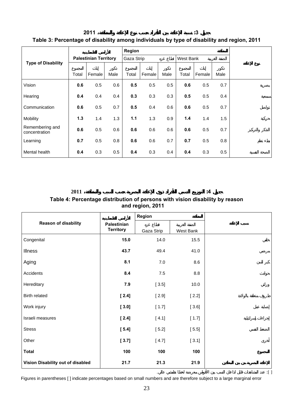## **جدول :3 نسبة الإعاقة بين الأفراد حسب نوع الإعاقة والمنطقة 2011 Table 3: Percentage of disability among individuals by type of disability and region, 2011**

|                                  |                              |        | Region |            |        |      |           |        |      |
|----------------------------------|------------------------------|--------|--------|------------|--------|------|-----------|--------|------|
|                                  | <b>Palestinian Territory</b> |        |        | Gaza Strip |        |      | West Bank |        |      |
| <b>Type of Disability</b>        |                              |        |        |            |        |      |           |        |      |
|                                  | Total                        | Female | Male   | Total      | Female | Male | Total     | Female | Male |
| Vision                           | 0.6                          | 0.5    | 0.6    | 0.5        | 0.5    | 0.5  | 0.6       | 0.5    | 0.7  |
| Hearing                          | 0.4                          | 0.4    | 0.4    | 0.3        | 0.3    | 0.3  | 0.5       | 0.5    | 0.4  |
| Communication                    | 0.6                          | 0.5    | 0.7    | 0.5        | 0.4    | 0.6  | 0.6       | 0.5    | 0.7  |
| Mobility                         | 1.3                          | 1.4    | 1.3    | 1.1        | 1.3    | 0.9  | 1.4       | 1.4    | 1.5  |
| Remembering and<br>concentration | 0.6                          | 0.5    | 0.6    | 0.6        | 0.6    | 0.6  | 0.6       | 0.5    | 0.7  |
| Learning                         | 0.7                          | 0.5    | 0.8    | 0.6        | 0.6    | 0.7  | 0.7       | 0.5    | 0.8  |
| Mental health                    | 0.4                          | 0.3    | 0.5    | 0.4        | 0.3    | 0.4  | 0.4       | 0.3    | 0.5  |

# **جدول :<sup>4</sup> التوزيع النسبي للأفراد ذوي الإعاقة البصرية حسب السبب والمنطقة، <sup>2011</sup> Table 4: Percentage distribution of persons with vision disability by reason and region, 2011**

|                                   |                                 | Region     |           |  |
|-----------------------------------|---------------------------------|------------|-----------|--|
| <b>Reason of disability</b>       | Palestinian<br><b>Territory</b> | Gaza Strip | West Bank |  |
| Congenital                        | 15.0                            | 14.0       | 15.5      |  |
| <b>Illness</b>                    | 43.7                            | 49.4       | 41.0      |  |
| Aging                             | 8.1                             | 7.0        | 8.6       |  |
| Accidents                         | 8.4                             | $7.5$      | 8.8       |  |
| Hereditary                        | 7.9                             | $[3.5]$    | 10.0      |  |
| Birth related                     | $[2.4]$                         | $[2.9]$    | $[2.2]$   |  |
| Work injury                       | $[3.0]$                         | [1.7]      | $[3.6]$   |  |
| Israeli measures                  | $[2.4]$                         | $[4.1]$    | [1.7]     |  |
| <b>Stress</b>                     | $[5.4]$                         | $[5.2]$    | $[5.5]$   |  |
| Other                             | [3.7]                           | $[4.7]$    | [3.1]     |  |
| <b>Total</b>                      | 100                             | 100        | 100       |  |
| Vision Disability out of disabled | 21.7                            | 21.3       | 21.9      |  |

 $\mathbb{C}$  ):  $\mathbb{C}$  behavior in the interval set of the interval  $\mathbb{C}$ 

Figures in parentheses [ ] indicate percentages based on small numbers and are therefore subject to a large marginal error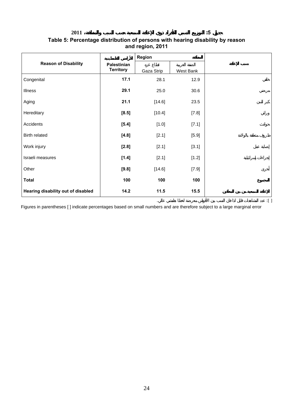**جدول :5 التوزيع النسبي للأفراد ذوي الإعاقة السمعية حسب السبب والمنطقة، 2011** 

#### **Table 5: Percentage distribution of persons with hearing disability by reason and region, 2011**

|                                    |                                        | Region     |           |  |
|------------------------------------|----------------------------------------|------------|-----------|--|
| <b>Reason of Disability</b>        | <b>Palestinian</b><br><b>Territory</b> | Gaza Strip | West Bank |  |
| Congenital                         | 17.1                                   | 28.1       | 12.9      |  |
| Illness                            | 29.1                                   | 25.0       | 30.6      |  |
| Aging                              | 21.1                                   | [14.6]     | 23.5      |  |
| Hereditary                         | $[8.5]$                                | [10.4]     | [7.8]     |  |
| Accidents                          | $[5.4]$                                | [1.0]      | [7.1]     |  |
| <b>Birth related</b>               | [4.8]                                  | [2.1]      | [5.9]     |  |
| Work injury                        | $[2.8]$                                | [2.1]      | [3.1]     |  |
| Israeli measures                   | [1.4]                                  | [2.1]      | [1.2]     |  |
| Other                              | [9.8]                                  | [14.6]     | [7.9]     |  |
| <b>Total</b>                       | 100                                    | 100        | 100       |  |
| Hearing disability out of disabled | 14.2                                   | 11.5       | 15.5      |  |

Figures in parentheses [ ] indicate percentages based on small numbers and are therefore subject to a large marginal error

 $\mathbb{C}$  ):  $\mathbb{C}$  behavior for the internal system of  $\mathbb{C}$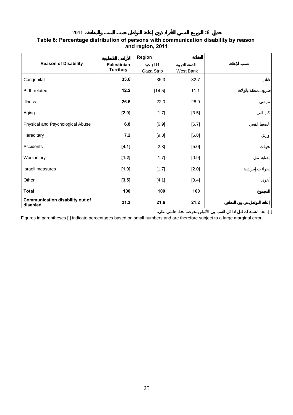**جدول :6 التوزيع النسبي للأفراد وي إعاقة التواصل حسب السبب والمنطقة، 2011** 

#### **Table 6: Percentage distribution of persons with communication disability by reason and region, 2011**

|                                             |                                        | <b>Region</b> |           |  |
|---------------------------------------------|----------------------------------------|---------------|-----------|--|
| <b>Reason of Disability</b>                 | <b>Palestinian</b><br><b>Territory</b> | Gaza Strip    | West Bank |  |
| Congenital                                  | 33.6                                   | 35.3          | 32.7      |  |
| <b>Birth related</b>                        | 12.2                                   | [14.5]        | 11.1      |  |
| Illness                                     | 26.6                                   | 22.0          | 28.9      |  |
| Aging                                       | $[2.9]$                                | [1.7]         | [3.5]     |  |
| Physical and Psychological Abuse            | 6.8                                    | $[6.9]$       | [6.7]     |  |
| Hereditary                                  | 7.2                                    | [9.8]         | [5.8]     |  |
| Accidents                                   | [4.1]                                  | [2.3]         | $[5.0]$   |  |
| Work injury                                 | [1.2]                                  | [1.7]         | [0.9]     |  |
| Israeli measures                            | [1.9]                                  | [1.7]         | [2.0]     |  |
| Other                                       | [3.5]                                  | [4.1]         | [3.4]     |  |
| <b>Total</b>                                | 100                                    | 100           | 100       |  |
| Communication disability out of<br>disabled | 21.3                                   | 21.6          | 21.2      |  |

Figures in parentheses [ ] indicate percentages based on small numbers and are therefore subject to a large marginal error

 $\mathbb{C}$  ):  $\mathbb{C}$  becomes the internal state between  $\mathbb{C}$  (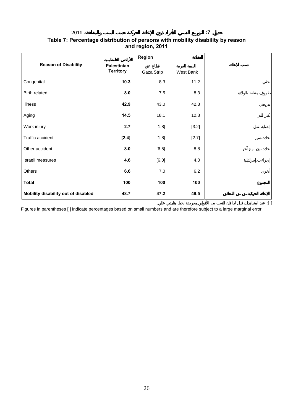**جدول :7 التوزيع النسبي للأفراد ذوي الإعاقة الحركية حسب السبب والمنطقة، 2011** 

#### **Table 7: Percentage distribution of persons with mobility disability by reason and region, 2011**

|                                     |                                        | <b>Region</b> |           |
|-------------------------------------|----------------------------------------|---------------|-----------|
| <b>Reason of Disability</b>         | <b>Palestinian</b><br><b>Territory</b> | Gaza Strip    | West Bank |
| Congenital                          | 10.3                                   | 8.3           | 11.2      |
| <b>Birth related</b>                | 8.0                                    | 7.5           | 8.3       |
| Illness                             | 42.9                                   | 43.0          | 42.8      |
| Aging                               | 14.5                                   | 18.1          | 12.8      |
| Work injury                         | 2.7                                    | [1.8]         | [3.2]     |
| Traffic accident                    | [2.4]                                  | [1.8]         | [2.7]     |
| Other accident                      | 8.0                                    | [6.5]         | $8.8\,$   |
| Israeli measures                    | 4.6                                    | [6.0]         | 4.0       |
| Others                              | 6.6                                    | $7.0\,$       | 6.2       |
| <b>Total</b>                        | 100                                    | 100           | 100       |
| Mobility disability out of disabled | 48.7                                   | 47.2          | 49.5      |

Figures in parentheses [ ] indicate percentages based on small numbers and are therefore subject to a large marginal error

 $\mathbb{C}$  ):  $\mathbb{C}$  behavior for the internal system of  $\mathbb{C}$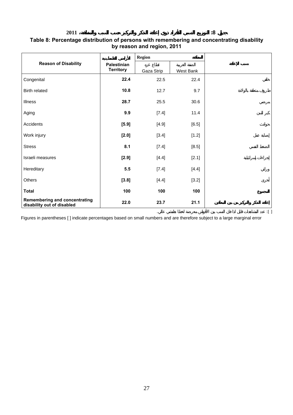#### **Table 8: Percentage distribution of persons with remembering and concentrating disability by reason and region, 2011**

|                                                                    |                                        | <b>Region</b> |           |  |
|--------------------------------------------------------------------|----------------------------------------|---------------|-----------|--|
| <b>Reason of Disability</b>                                        | <b>Palestinian</b><br><b>Territory</b> | Gaza Strip    | West Bank |  |
| Congenital                                                         | 22.4                                   | 22.5          | 22.4      |  |
| <b>Birth related</b>                                               | 10.8                                   | 12.7          | 9.7       |  |
| <b>Illness</b>                                                     | 28.7                                   | 25.5          | 30.6      |  |
| Aging                                                              | 9.9                                    | [7.4]         | 11.4      |  |
| Accidents                                                          | $[5.9]$                                | [4.9]         | [6.5]     |  |
| Work injury                                                        | $[2.0]$                                | [3.4]         | [1.2]     |  |
| <b>Stress</b>                                                      | 8.1                                    | [7.4]         | [8.5]     |  |
| Israeli measures                                                   | $[2.9]$                                | [4.4]         | [2.1]     |  |
| Hereditary                                                         | 5.5                                    | [7.4]         | [4.4]     |  |
| Others                                                             | [3.8]                                  | [4.4]         | [3.2]     |  |
| <b>Total</b>                                                       | 100                                    | 100           | 100       |  |
| <b>Remembering and concentrating</b><br>disability out of disabled | 22.0                                   | 23.7          | 21.1      |  |

Figures in parentheses [ ] indicate percentages based on small numbers and are therefore subject to a large marginal error

 $\mathbb{C}$  ):  $\mathbb{C}$  becomes the internal state between  $\mathbb{C}$  (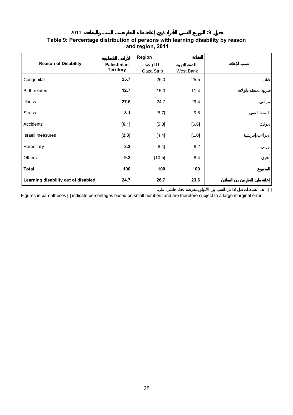**جدول :9 التوزيع النسبي للأفراد ذوي إعاقة بط التعلم حسب السبب والمنطقة، 2011** 

#### **Table 9: Percentage distribution of persons with learning disability by reason and region, 2011**

|                                     |                                 | Region     |           |  |
|-------------------------------------|---------------------------------|------------|-----------|--|
| <b>Reason of Disability</b>         | Palestinian<br><b>Territory</b> | Gaza Strip | West Bank |  |
| Congenital                          | 25.7                            | 26.0       | 25.5      |  |
| Birth related                       | 12.7                            | 15.0       | 11.4      |  |
| <b>Illness</b>                      | 27.6                            | 24.7       | 29.4      |  |
| <b>Stress</b>                       | 8.1                             | [5.7]      | 9.5       |  |
| Accidents                           | $[6.1]$                         | [5.3]      | [6.6]     |  |
| Israeli measures                    | $[2.3]$                         | [4.4]      | [1.0]     |  |
| Hereditary                          | 8.3                             | [8.4]      | 8.2       |  |
| Others                              | 9.2                             | [10.5]     | 8.4       |  |
| <b>Total</b>                        | 100                             | 100        | 100       |  |
| Learning disability out of disabled | 24.7                            | 26.7       | 23.6      |  |

 $\mathbb{C}$  ):  $\mathbb{C}$  behavior in the interval set of the interval  $\mathbb{C}$ 

Figures in parentheses [ ] indicate percentages based on small numbers and are therefore subject to a large marginal error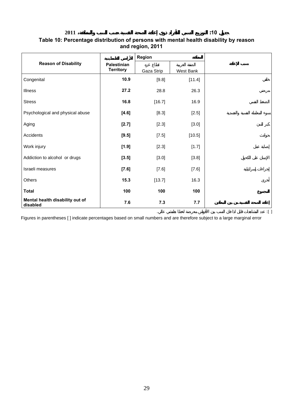**جدول :10 التوزيع النسبي للأفراد ذوي إعاقة الصحة النفسية حسب السبب والمنطقة، 2011** 

#### **Table 10: Percentage distribution of persons with mental health disability by reason and region, 2011**

|                                             |                                        | Region     |           |  |
|---------------------------------------------|----------------------------------------|------------|-----------|--|
| <b>Reason of Disability</b>                 | <b>Palestinian</b><br><b>Territory</b> | Gaza Strip | West Bank |  |
| Congenital                                  | 10.9                                   | [9.8]      | [11.4]    |  |
| <b>Illness</b>                              | 27.2                                   | 28.8       | 26.3      |  |
| <b>Stress</b>                               | 16.8                                   | [16.7]     | 16.9      |  |
| Psychological and physical abuse            | $[4.6]$                                | [8.3]      | [2.5]     |  |
| Aging                                       | $[2.7]$                                | [2.3]      | [3.0]     |  |
| Accidents                                   | $[9.5]$                                | [7.5]      | [10.5]    |  |
| Work injury                                 | [1.9]                                  | [2.3]      | [1.7]     |  |
| Addiction to alcohol or drugs               | $[3.5]$                                | [3.0]      | [3.8]     |  |
| Israeli measures                            | $[7.6]$                                | [7.6]      | [7.6]     |  |
| <b>Others</b>                               | 15.3                                   | [13.7]     | 16.3      |  |
| <b>Total</b>                                | 100                                    | 100        | 100       |  |
| Mental health disability out of<br>disabled | 7.6                                    | 7.3        | 7.7       |  |

Figures in parentheses [ ] indicate percentages based on small numbers and are therefore subject to a large marginal error

 $\mathbb{C}$  ):  $\mathbb{C}$  becomes the internal state between  $\mathbb{C}$  (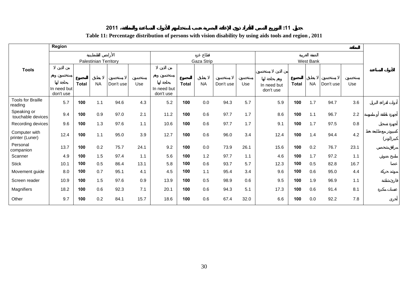## $:11$

## **Table 11: Percentage distribution of persons with vision disability by using aids tools and region , 2011**

|                                     | Region                   |              |                              |           |      |                          |              |            |           |      |                          |              |           |           |      |  |
|-------------------------------------|--------------------------|--------------|------------------------------|-----------|------|--------------------------|--------------|------------|-----------|------|--------------------------|--------------|-----------|-----------|------|--|
|                                     |                          |              | <b>Palestinian Territory</b> |           |      |                          |              | Gaza Strip |           |      |                          |              | West Bank |           |      |  |
| <b>Tools</b>                        |                          |              |                              |           |      |                          |              |            |           |      |                          |              |           |           |      |  |
|                                     | In need but<br>don't use | <b>Total</b> | <b>NA</b>                    | Don't use | Use  | In need but<br>don't use | <b>Total</b> | <b>NA</b>  | Don't use | Use  | In need but<br>don't use | <b>Total</b> | <b>NA</b> | Don't use | Use  |  |
| <b>Tools for Braille</b><br>reading | 5.7                      | 100          | 1.1                          | 94.6      | 4.3  | 5.2                      | 100          | 0.0        | 94.3      | 5.7  | 5.9                      | 100          | 1.7       | 94.7      | 3.6  |  |
| Speaking or<br>touchable devices    | 9.4                      | 100          | 0.9                          | 97.0      | 2.1  | 11.2                     | 100          | 0.6        | 97.7      | 1.7  | 8.6                      | 100          | 1.1       | 96.7      | 2.2  |  |
| Recording devices                   | 9.6                      | 100          | 1.3                          | 97.6      | 1.1  | 10.6                     | 100          | 0.6        | 97.7      | 1.7  | 9.1                      | 100          | 1.7       | 97.5      | 0.8  |  |
| Computer with<br>printer (Luner)    | 12.4                     | 100          | 1.1                          | 95.0      | 3.9  | 12.7                     | 100          | 0.6        | 96.0      | 3.4  | 12.4                     | 100          | 1.4       | 94.4      | 4.2  |  |
| Personal<br>companion               | 13.7                     | 100          | 0.2                          | 75.7      | 24.1 | 9.2                      | 100          | 0.0        | 73.9      | 26.1 | 15.6                     | 100          | 0.2       | 76.7      | 23.1 |  |
| Scanner                             | 4.9                      | 100          | 1.5                          | 97.4      | 1.1  | 5.6                      | 100          | 1.2        | 97.7      | 1.1  | 4.6                      | 100          | 1.7       | 97.2      | 1.1  |  |
| <b>Stick</b>                        | 10.1                     | 100          | 0.5                          | 86.4      | 13.1 | 5.8                      | 100          | 0.6        | 93.7      | 5.7  | 12.3                     | 100          | 0.5       | 82.8      | 16.7 |  |
| Movement guide                      | 8.0                      | 100          | 0.7                          | 95.1      | 4.1  | 4.5                      | 100          | 1.1        | 95.4      | 3.4  | 9.6                      | 100          | 0.6       | 95.0      | 4.4  |  |
| Screen reader                       | 10.9                     | 100          | 1.5                          | 97.6      | 0.9  | 13.9                     | 100          | 0.5        | 98.9      | 0.6  | 9.5                      | 100          | 1.9       | 96.9      | 1.1  |  |
| Magnifiers                          | 18.2                     | 100          | 0.6                          | 92.3      | 7.1  | 20.1                     | 100          | 0.6        | 94.3      | 5.1  | 17.3                     | 100          | 0.6       | 91.4      | 8.1  |  |
| Other                               | 9.7                      | 100          | 0.2                          | 84.1      | 15.7 | 18.6                     | 100          | 0.6        | 67.4      | 32.0 | 6.6                      | 100          | 0.0       | 92.2      | 7.8  |  |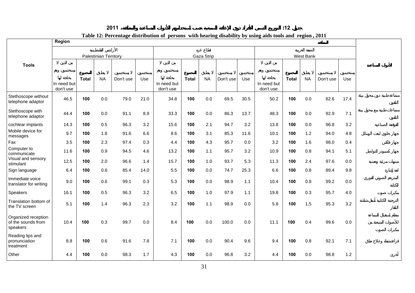| 2011<br>_______ | - -<br>$\overline{a}$ |
|-----------------|-----------------------|
|                 |                       |

| Table 12: Percentage distribution of persons with hearing disability by using aids tools and region, 2011 |  |  |  |
|-----------------------------------------------------------------------------------------------------------|--|--|--|
|                                                                                                           |  |  |  |

|                                                       | Region                   |              |                              |           |         |                          |              |            |           |      | Table 12. I creentage uistribution or persons with nearing uisability by using alus tools and region, 2011 |              |           |           |      |
|-------------------------------------------------------|--------------------------|--------------|------------------------------|-----------|---------|--------------------------|--------------|------------|-----------|------|------------------------------------------------------------------------------------------------------------|--------------|-----------|-----------|------|
|                                                       |                          |              | <b>Palestinian Territory</b> |           |         |                          |              | Gaza Strip |           |      |                                                                                                            |              | West Bank |           |      |
|                                                       |                          |              |                              |           |         |                          |              |            |           |      |                                                                                                            |              |           |           |      |
| <b>Tools</b>                                          | In need but<br>don't use | <b>Total</b> | <b>NA</b>                    | Don't use | Use     | In need but<br>don't use | <b>Total</b> | <b>NA</b>  | Don't use | Use  | In need but<br>don't use                                                                                   | <b>Total</b> | <b>NA</b> | Don't use | Use  |
| Stethoscope without<br>telephone adaptor              | 46.5                     | 100          | 0.0                          | 79.0      | 21.0    | 34.8                     | 100          | 0.0        | 69.5      | 30.5 | 50.2                                                                                                       | 100          | 0.0       | 82.6      | 17.4 |
| Stethoscope with<br>telephone adaptor                 | 44.4                     | 100          | 0.0                          | 91.1      | 8.9     | 33.3                     | 100          | $0.0\,$    | 86.3      | 13.7 | 48.3                                                                                                       | 100          | 0.0       | 92.9      | 7.1  |
| cochlear implants                                     | 14.3                     | 100          | 0.5                          | 96.3      | 3.2     | 15.6                     | 100          | 2.1        | 94.7      | 3.2  | 13.8                                                                                                       | 100          | 0.0       | 96.8      | 3.2  |
| Mobile device for<br>messages                         | 9.7                      | 100          | 1.8                          | 91.6      | 6.6     | 8.6                      | 100          | 3.1        | 85.3      | 11.6 | 10.1                                                                                                       | 100          | 1.2       | 94.0      | 4.8  |
| Fax                                                   | 3.5                      | 100          | 2.3                          | 97.4      | 0.3     | 4.4                      | 100          | 4.3        | 95.7      | 0.0  | 3.2                                                                                                        | 100          | 1.6       | 98.0      | 0.4  |
| Computer to<br>communicate                            | 11.6                     | 100          | 0.9                          | 94.5      | 4.6     | 13.2                     | 100          | $1.1$      | 95.7      | 3.2  | 10.9                                                                                                       | 100          | 0.8       | 94.1      | 5.1  |
| Visual and sensory<br>stimulant                       | 12.5                     | 100          | 2.0                          | 96.6      | 1.4     | 15.7                     | 100          | 1.0        | 93.7      | 5.3  | 11.3                                                                                                       | 100          | 2.4       | 97.6      | 0.0  |
| Sign language                                         | 6.4                      | 100          | 0.6                          | 85.4      | 14.0    | 5.5                      | 100          | 0.0        | 74.7      | 25.3 | 6.6                                                                                                        | 100          | 0.8       | 89.4      | 9.8  |
| Immediate voice<br>translator for writing             | 9.0                      | 100          | 0.6                          | 99.1      | 0.3     | 5.3                      | 100          | $0.0\,$    | 98.9      | 1.1  | 10.4                                                                                                       | 100          | 0.8       | 99.2      | 0.0  |
| <b>Speakers</b>                                       | 16.1                     | 100          | 0.5                          | 96.3      | 3.2     | 6.5                      | 100          | 1.0        | 97.9      | 1.1  | 19.8                                                                                                       | 100          | 0.3       | 95.7      | 4.0  |
| Translation bottom of<br>the TV screen                | 5.1                      | 100          | 1.4                          | 96.3      | 2.3     | 3.2                      | 100          | 1.1        | 98.9      | 0.0  | 5.8                                                                                                        | 100          | 1.5       | 95.3      | 3.2  |
| Organized reception<br>of the sounds from<br>speakers | 10.4                     | 100          | 0.3                          | 99.7      | $0.0\,$ | 8.4                      | 100          | $0.0\,$    | 100.0     | 0.0  | 11.1                                                                                                       | 100          | 0.4       | 99.6      | 0.0  |
| Reading lips and<br>pronunciation<br>treatment        | 8.8                      | 100          | 0.6                          | 91.6      | 7.8     | 7.1                      | 100          | 0.0        | 90.4      | 9.6  | 9.4                                                                                                        | 100          | 0.8       | 92.1      | 7.1  |
| Other                                                 | 4.4                      | 100          | 0.0                          | 98.3      | 1.7     | 4.3                      | 100          | 0.0        | 96.8      | 3.2  | 4.4                                                                                                        | 100          | 0.0       | 98.8      | 1.2  |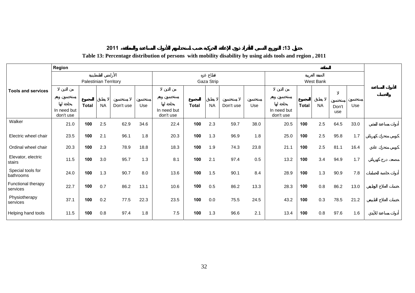$:13$ 

#### **Table 13: Percentage distribution of persons with mobility disability by using aids tools and region , 2011**

|                                | Region                   |                              |           |           |      |                          |              |            |           |      |                          |              |           |              |      |
|--------------------------------|--------------------------|------------------------------|-----------|-----------|------|--------------------------|--------------|------------|-----------|------|--------------------------|--------------|-----------|--------------|------|
|                                |                          | <b>Palestinian Territory</b> |           |           |      |                          |              | Gaza Strip |           |      |                          |              | West Bank |              |      |
| <b>Tools and services</b>      |                          |                              |           |           |      |                          |              |            |           |      |                          |              |           |              |      |
|                                | In need but<br>don't use | <b>Total</b>                 | <b>NA</b> | Don't use | Use  | In need but<br>don't use | <b>Total</b> | <b>NA</b>  | Don't use | Use  | In need but<br>don't use | <b>Total</b> | <b>NA</b> | Don't<br>use | Use  |
| Walker                         | 21.0                     | 100                          | 2.5       | 62.9      | 34.6 | 22.4                     | 100          | 2.3        | 59.7      | 38.0 | 20.5                     | 100          | 2.5       | 64.5         | 33.0 |
| Electric wheel chair           | 23.5                     | 100                          | 2.1       | 96.1      | 1.8  | 20.3                     | 100          | 1.3        | 96.9      | 1.8  | 25.0                     | 100          | 2.5       | 95.8         | 1.7  |
| Ordinal wheel chair            | 20.3                     | 100                          | 2.3       | 78.9      | 18.8 | 18.3                     | 100          | 1.9        | 74.3      | 23.8 | 21.1                     | 100          | 2.5       | 81.1         | 16.4 |
| Elevator, electric<br>stairs   | 11.5                     | 100                          | 3.0       | 95.7      | 1.3  | 8.1                      | 100          | 2.1        | 97.4      | 0.5  | 13.2                     | 100          | 3.4       | 94.9         | 1.7  |
| Special tools for<br>bathrooms | 24.0                     | 100                          | 1.3       | 90.7      | 8.0  | 13.6                     | 100          | 1.5        | 90.1      | 8.4  | 28.9                     | 100          | 1.3       | 90.9         | 7.8  |
| Functional therapy<br>services | 22.7                     | 100                          | 0.7       | 86.2      | 13.1 | 10.6                     | 100          | 0.5        | 86.2      | 13.3 | 28.3                     | 100          | 0.8       | 86.2         | 13.0 |
| Physiotherapy<br>services      | 37.1                     | 100                          | 0.2       | 77.5      | 22.3 | 23.5                     | 100          | 0.0        | 75.5      | 24.5 | 43.2                     | 100          | 0.3       | 78.5         | 21.2 |
| Helping hand tools             | 11.5                     | 100                          | 0.8       | 97.4      | 1.8  | 7.5                      | 100          | 1.3        | 96.6      | 2.1  | 13.4                     | 100          | 0.8       | 97.6         | 1.6  |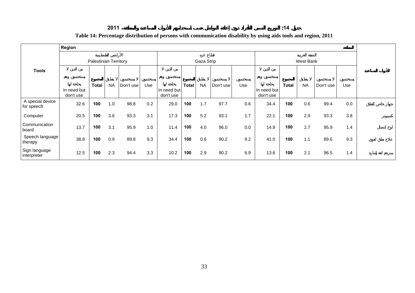#### $:14$

## **Table 14: Percentage distribution of persons with communication disability by using aids tools and region, 2011**

|                                | Region                   |                       |           |           |     |                          |              |            |           |     |                          |              |           |           |     |  |
|--------------------------------|--------------------------|-----------------------|-----------|-----------|-----|--------------------------|--------------|------------|-----------|-----|--------------------------|--------------|-----------|-----------|-----|--|
|                                |                          | Palestinian Territory |           |           |     |                          |              | Gaza Strip |           |     |                          |              | West Bank |           |     |  |
| <b>Tools</b>                   |                          |                       |           |           |     |                          |              |            |           |     |                          |              |           |           |     |  |
|                                | In need but<br>don't use | <b>Total</b>          | <b>NA</b> | Don't use | Use | In need but<br>don't use | <b>Total</b> | <b>NA</b>  | Don't use | Use | In need but<br>don't use | <b>Total</b> | <b>NA</b> | Don't use | Use |  |
| A special device<br>for speech | 32.6                     | 100                   | 1.0       | 98.8      | 0.2 | 29.0                     | 100          | 1.7        | 97.7      | 0.6 | 34.4                     | 100          | 0.6       | 99.4      | 0.0 |  |
| Computer                       | 20.5                     | 100                   | 3.6       | 93.3      | 3.1 | 17.3                     | 100          | 5.2        | 93.1      | 1.7 | 22.1                     | 100          | 2.9       | 93.3      | 3.8 |  |
| Communication<br>board         | 13.7                     | 100                   | 3.1       | 95.9      | 1.0 | 11.4                     | 100          | 4.0        | 96.0      | 0.0 | 14.9                     | 100          | 2.7       | 95.9      | 1.4 |  |
| Speech language<br>therapy     | 38.8                     | 100                   | 0.9       | 89.8      | 9.3 | 34.4                     | 100          | 0.6        | 90.2      | 9.2 | 41.0                     | 100          | 1.1       | 89.6      | 9.3 |  |
| Sign language<br>interpreter   | 12.5                     | 100                   | 2.3       | 94.4      | 3.3 | 10.2                     | 100          | 2.9        | 90.2      | 6.9 | 13.6                     | 100          | 2.1       | 96.5      | 1.4 |  |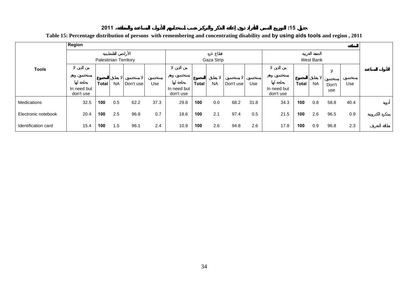$:15$ 

## **Table 15: Percentage distribution of persons with remembering and concentrating disability and by using aids tools and region , 2011**

|                     | Region                   |                              |           |           |      |                          |              |            |           |      |                          |              |           |              |      |  |
|---------------------|--------------------------|------------------------------|-----------|-----------|------|--------------------------|--------------|------------|-----------|------|--------------------------|--------------|-----------|--------------|------|--|
|                     |                          | <b>Palestinian Territory</b> |           |           |      |                          |              | Gaza Strip |           |      |                          |              | West Bank |              |      |  |
| <b>Tools</b>        |                          |                              |           |           |      |                          |              |            |           |      |                          |              |           |              |      |  |
|                     | In need but<br>don't use | <b>Total</b>                 | <b>NA</b> | Don't use | Use  | In need but<br>don't use | <b>Total</b> | <b>NA</b>  | Don't use | Use  | In need but<br>don't use | <b>Total</b> | <b>NA</b> | Don't<br>use | Use  |  |
| Medications         | 32.5                     | 100                          | 0.5       | 62.2      | 37.3 | 29.8                     | 100          | 0.0        | 68.2      | 31.8 | 34.3                     | 100          | 0.8       | 58.8         | 40.4 |  |
| Electronic notebook | 20.4                     | 100                          | 2.5       | 96.8      | 0.7  | 18.6                     | 100          | 2.1        | 97.4      | 0.5  | 21.5                     | 100          | 2.6       | 96.5         | 0.9  |  |
| Identification card | 15.4                     | 100                          | 1.5       | 96.1      | 2.4  | 10.9                     | 100          | 2.6        | 94.8      | 2.6  | 17.8                     | 100          | 0.9       | 96.8         | 2.3  |  |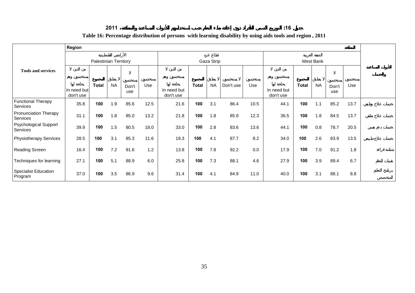**2011 :16**

 $:16$ 

### **Table 16: Percentage distribution of persons with learning disability by using aids tools and region , 2011**

|                                          | Region                   |                              |           |              |      |                          |              |            |           |      |                          |              |           |              |      |  |
|------------------------------------------|--------------------------|------------------------------|-----------|--------------|------|--------------------------|--------------|------------|-----------|------|--------------------------|--------------|-----------|--------------|------|--|
|                                          |                          | <b>Palestinian Territory</b> |           |              |      |                          |              | Gaza Strip |           |      |                          |              | West Bank |              |      |  |
| <b>Tools and services</b>                |                          |                              |           |              |      |                          |              |            |           |      |                          |              |           |              |      |  |
|                                          | In need but<br>don't use | <b>Total</b>                 | <b>NA</b> | Don't<br>use | Use  | In need but<br>don't use | <b>Total</b> | <b>NA</b>  | Don't use | Use  | In need but<br>don't use | <b>Total</b> | <b>NA</b> | Don't<br>use | Use  |  |
| <b>Functional Therapy</b><br>Services    | 35.8                     | 100                          | 1.9       | 85.6         | 12.5 | 21.6                     | 100          | 3.1        | 86.4      | 10.5 | 44.1                     | 100          | 1.1       | 85.2         | 13.7 |  |
| <b>Pronunciation Therapy</b><br>Services | 31.1                     | 100                          | 1.8       | 85.0         | 13.2 | 21.8                     | 100          | 1.8        | 85.9      | 12.3 | 36.5                     | 100          | 1.8       | 84.5         | 13.7 |  |
| <b>Psychological Support</b><br>Services | 39.9                     | 100                          | 1.5       | 80.5         | 18.0 | 33.0                     | 100          | 2.8        | 83.6      | 13.6 | 44.1                     | 100          | 0.8       | 78.7         | 20.5 |  |
| <b>Physiotherapy Services</b>            | 28.5                     | 100                          | 3.1       | 85.3         | 11.6 | 19.3                     | 100          | 4.1        | 87.7      | 8.2  | 34.0                     | 100          | 2.6       | 83.9         | 13.5 |  |
| <b>Reading Screen</b>                    | 16.4                     | 100                          | 7.2       | 91.6         | 1.2  | 13.8                     | 100          | 7.8        | 92.2      | 0.0  | 17.9                     | 100          | 7.0       | 91.2         | 1.8  |  |
| Techniques for learning                  | 27.1                     | 100                          | 5.1       | 88.9         | 6.0  | 25.8                     | 100          | 7.3        | 88.1      | 4.6  | 27.9                     | 100          | 3.9       | 89.4         | 6.7  |  |
| <b>Specialist Education</b><br>Program   | 37.0                     | 100                          | 3.5       | 86.9         | 9.6  | 31.4                     | 100          | 4.1        | 84.9      | 11.0 | 40.0                     | 100          | 3.1       | 88.1         | 8.8  |  |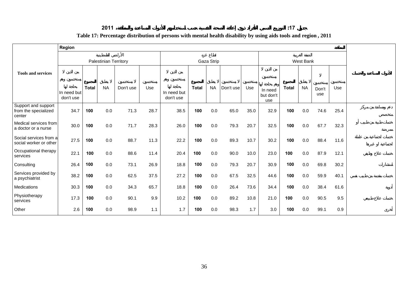#### $:17$

# **Table 17: Percentage distribution of persons with mental health disability by using aids tools and region , 2011**

|                                                       | Region                   |              |                              |           |      |                          |              |            |           |      |                             |              |           |              |      |
|-------------------------------------------------------|--------------------------|--------------|------------------------------|-----------|------|--------------------------|--------------|------------|-----------|------|-----------------------------|--------------|-----------|--------------|------|
|                                                       |                          |              | <b>Palestinian Territory</b> |           |      |                          |              | Gaza Strip |           |      |                             |              | West Bank |              |      |
| <b>Tools and services</b>                             | In need but<br>don't use | <b>Total</b> | <b>NA</b>                    | Don't use | Use  | In need but<br>don't use | <b>Total</b> | <b>NA</b>  | Don't use | Use  | In need<br>but don't<br>use | <b>Total</b> | <b>NA</b> | Don't<br>use | Use  |
| Support and support<br>from the specialized<br>center | 34.7                     | 100          | 0.0                          | 71.3      | 28.7 | 38.5                     | 100          | 0.0        | 65.0      | 35.0 | 32.9                        | 100          | 0.0       | 74.6         | 25.4 |
| Medical services from<br>a doctor or a nurse          | 30.0                     | 100          | 0.0                          | 71.7      | 28.3 | 26.0                     | 100          | 0.0        | 79.3      | 20.7 | 32.5                        | 100          | 0.0       | 67.7         | 32.3 |
| Social services from a<br>social worker or other      | 27.5                     | 100          | 0.0                          | 88.7      | 11.3 | 22.2                     | 100          | 0.0        | 89.3      | 10.7 | 30.2                        | 100          | 0.0       | 88.4         | 11.6 |
| Occupational therapy<br>services                      | 22.1                     | 100          | 0.0                          | 88.6      | 11.4 | 20.4                     | 100          | 0.0        | 90.0      | 10.0 | 23.0                        | 100          | 0.0       | 87.9         | 12.1 |
| Consulting                                            | 26.4                     | 100          | 0.0                          | 73.1      | 26.9 | 18.8                     | 100          | 0.0        | 79.3      | 20.7 | 30.9                        | 100          | 0.0       | 69.8         | 30.2 |
| Services provided by<br>a psychiatrist                | 38.2                     | 100          | 0.0                          | 62.5      | 37.5 | 27.2                     | 100          | $0.0\,$    | 67.5      | 32.5 | 44.6                        | 100          | 0.0       | 59.9         | 40.1 |
| Medications                                           | 30.3                     | 100          | 0.0                          | 34.3      | 65.7 | 18.8                     | 100          | 0.0        | 26.4      | 73.6 | 34.4                        | 100          | 0.0       | 38.4         | 61.6 |
| Physiotherapy<br>services                             | 17.3                     | 100          | 0.0                          | 90.1      | 9.9  | 10.2                     | 100          | 0.0        | 89.2      | 10.8 | 21.0                        | 100          | 0.0       | 90.5         | 9.5  |
| Other                                                 | 2.6                      | 100          | 0.0                          | 98.9      | 1.1  | 1.7                      | 100          | 0.0        | 98.3      | 1.7  | 3.0                         | 100          | 0.0       | 99.1         | 0.9  |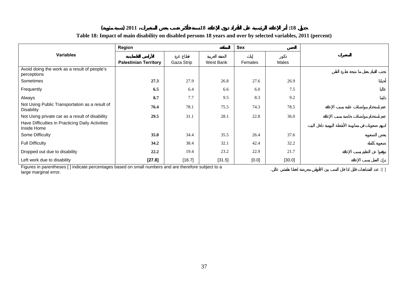#### **( ) 2011 18 :18 Table 18: Impact of main disability on disabled persons 18 years and over by selected variables, 2011 (percent)**

|                                                                     | Region                       |            |           | Sex     |        |
|---------------------------------------------------------------------|------------------------------|------------|-----------|---------|--------|
| <b>Variables</b>                                                    |                              |            |           |         |        |
|                                                                     | <b>Palestinian Territory</b> | Gaza Strip | West Bank | Females | Males  |
| Avoid doing the work as a result of people's<br>perceptions         |                              |            |           |         |        |
| Sometimes                                                           | 27.3                         | 27.9       | 26.8      | 27.6    | 26.9   |
| Frequently                                                          | 6.5                          | 6.4        | 6.6       | 6.0     | 7.5    |
| Always                                                              | 8.7                          | 7.7        | 9.5       | 8.3     | 9.2    |
| Not Using Public Transportation as a result of<br><b>Disability</b> | 76.4                         | 78.1       | 75.5      | 74.3    | 78.5   |
| Not Using private car as a result of disability                     | 29.5                         | 31.1       | 28.1      | 22.8    | 36.0   |
| Have Difficulties in Practicing Daily Activities<br>Inside Home     |                              |            |           |         |        |
| Some Difficulty                                                     | 35.0                         | 34.4       | 35.5      | 26.4    | 37.6   |
| <b>Full Difficulty</b>                                              | 34.2                         | 38.4       | 32.1      | 42.4    | 32.2   |
| Dropped out due to disability                                       | 22.2                         | 19.4       | 23.2      | 22.9    | 21.7   |
| Left work due to disability                                         | $[27.8]$                     | [16.7]     | [31.5]    | $[0.0]$ | [30.0] |

Figures in parentheses [ ] indicate percentages based on small numbers and are therefore subject to a large marginal error. . :[ ]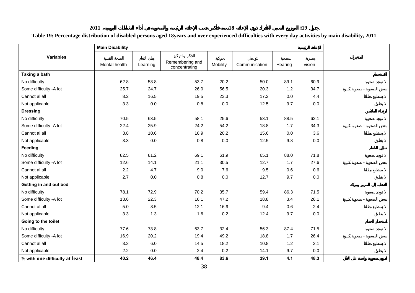| таже тэ: гегсенаде овитюцион оговзолео регвонз адео тоуеату ано оver ехрегичнеео описанием мин еvery оау асиvием бу шаш оважниу, 2011 |                        |          |                                  |          |               |         |        |  |
|---------------------------------------------------------------------------------------------------------------------------------------|------------------------|----------|----------------------------------|----------|---------------|---------|--------|--|
|                                                                                                                                       | <b>Main Disability</b> |          |                                  |          |               |         |        |  |
| <b>Variables</b>                                                                                                                      | Mental health          | Learning | Remembering and<br>concentrating | Mobility | Communication | Hearing | vision |  |
| Taking a bath                                                                                                                         |                        |          |                                  |          |               |         |        |  |
| No difficulty                                                                                                                         | 62.8                   | 58.8     | 53.7                             | 20.2     | 50.0          | 89.1    | 60.9   |  |
| Some difficulty -A lot                                                                                                                | 25.7                   | 24.7     | 26.0                             | 56.5     | 20.3          | 1.2     | 34.7   |  |
| Cannot al all                                                                                                                         | 8.2                    | 16.5     | 19.5                             | 23.3     | 17.2          | 0.0     | 4.4    |  |
| Not applicable                                                                                                                        | 3.3                    | $0.0\,$  | $0.8\,$                          | $0.0\,$  | 12.5          | 9.7     | 0.0    |  |
| <b>Dressing</b>                                                                                                                       |                        |          |                                  |          |               |         |        |  |
| No difficulty                                                                                                                         | 70.5                   | 63.5     | 58.1                             | 25.6     | 53.1          | 88.5    | 62.1   |  |
| Some difficulty -A lot                                                                                                                | 22.4                   | 25.9     | 24.2                             | 54.2     | 18.8          | 1.7     | 34.3   |  |
| Cannot al all                                                                                                                         | 3.8                    | 10.6     | 16.9                             | 20.2     | 15.6          | 0.0     | 3.6    |  |
| Not applicable                                                                                                                        | 3.3                    | $0.0\,$  | 0.8                              | $0.0\,$  | 12.5          | 9.8     | 0.0    |  |
| Feeding                                                                                                                               |                        |          |                                  |          |               |         |        |  |
| No difficulty                                                                                                                         | 82.5                   | 81.2     | 69.1                             | 61.9     | 65.1          | 88.0    | 71.8   |  |
| Some difficulty -A lot                                                                                                                | 12.6                   | 14.1     | 21.1                             | 30.5     | 12.7          | 1.7     | 27.6   |  |
| Cannot al all                                                                                                                         | 2.2                    | 4.7      | 9.0                              | 7.6      | 9.5           | 0.6     | 0.6    |  |
| Not applicable                                                                                                                        | 2.7                    | $0.0\,$  | 0.8                              | $0.0\,$  | 12.7          | 9.7     | 0.0    |  |
| Getting in and out bed                                                                                                                |                        |          |                                  |          |               |         |        |  |
| No difficulty                                                                                                                         | 78.1                   | 72.9     | 70.2                             | 35.7     | 59.4          | 86.3    | 71.5   |  |
| Some difficulty -A lot                                                                                                                | 13.6                   | 22.3     | 16.1                             | 47.2     | 18.8          | 3.4     | 26.1   |  |
| Cannot al all                                                                                                                         | $5.0\,$                | 3.5      | 12.1                             | 16.9     | 9.4           | 0.6     | 2.4    |  |
| Not applicable                                                                                                                        | 3.3                    | 1.3      | 1.6                              | 0.2      | 12.4          | 9.7     | 0.0    |  |
| Going to the toilet                                                                                                                   |                        |          |                                  |          |               |         |        |  |
| No difficulty                                                                                                                         | 77.6                   | 73.8     | 63.7                             | 32.4     | 56.3          | 87.4    | 71.5   |  |
| Some difficulty -A lot                                                                                                                | 16.9                   | 20.2     | 19.4                             | 49.2     | 18.8          | 1.7     | 26.4   |  |
| Cannot al all                                                                                                                         | 3.3                    | $6.0\,$  | 14.5                             | 18.2     | 10.8          | $1.2$   | 2.1    |  |
| Not applicable                                                                                                                        | 2.2                    | $0.0\,$  | 2.4                              | 0.2      | 14.1          | 9.7     | 0.0    |  |
| % with one difficulty at least                                                                                                        | 40.2                   | 46.4     | 48.4                             | 83.6     | 39.1          | 4.1     | 48.3   |  |

#### **2011 18 :19 Table 19: Percentage distribution of disabled persons aged 18years and over experienced difficulties with every day activities by main disability, 2011**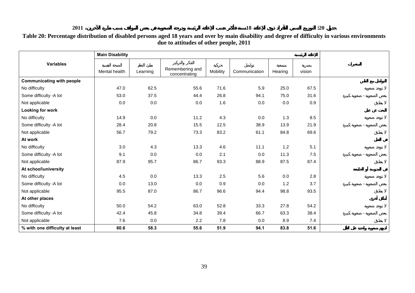| Table 20: Percentage distribution of disabled persons aged 18 years and over by main disability and degree of difficulty in various environments |
|--------------------------------------------------------------------------------------------------------------------------------------------------|
| due to attitudes of other people, 2011                                                                                                           |

|                                  | <b>Main Disability</b> |          |                                  |          |               |         |        |  |
|----------------------------------|------------------------|----------|----------------------------------|----------|---------------|---------|--------|--|
| <b>Variables</b>                 | Mental health          | Learning | Remembering and<br>concentrating | Mobility | Communication | Hearing | vision |  |
| <b>Communicating with people</b> |                        |          |                                  |          |               |         |        |  |
| No difficulty                    | 47.0                   | 62.5     | 55.6                             | 71.6     | 5.9           | 25.0    | 67.5   |  |
| Some difficulty -A lot           | 53.0                   | 37.5     | 44.4                             | 26.8     | 94.1          | 75.0    | 31.6   |  |
| Not applicable                   | 0.0                    | 0.0      | 0.0                              | 1.6      | 0.0           | 0.0     | 0.9    |  |
| Looking for work                 |                        |          |                                  |          |               |         |        |  |
| No difficulty                    | 14.9                   | 0.0      | 11.2                             | 4.3      | 0.0           | $1.3$   | 8.5    |  |
| Some difficulty -A lot           | 28.4                   | 20.8     | 15.5                             | 12.5     | 38.9          | 13.9    | 21.9   |  |
| Not applicable                   | 56.7                   | 79.2     | 73.3                             | 83.2     | 61.1          | 84.8    | 69.6   |  |
| At work                          |                        |          |                                  |          |               |         |        |  |
| No difficulty                    | 3.0                    | 4.3      | 13.3                             | 4.6      | 11.1          | 1.2     | 5.1    |  |
| Some difficulty -A lot           | 9.1                    | 0.0      | 0.0                              | 2.1      | 0.0           | 11.3    | 7.5    |  |
| Not applicable                   | 87.9                   | 95.7     | 86.7                             | 93.3     | 88.9          | 87.5    | 87.4   |  |
| At school\university             |                        |          |                                  |          |               |         |        |  |
| No difficulty                    | 4.5                    | 0.0      | 13.3                             | 2.5      | 5.6           | $0.0\,$ | 2.8    |  |
| Some difficulty -A lot           | $0.0\,$                | 13.0     | 0.0                              | 0.9      | 0.0           | 1.2     | 3.7    |  |
| Not applicable                   | 95.5                   | 87.0     | 86.7                             | 96.6     | 94.4          | 98.8    | 93.5   |  |
| At other places                  |                        |          |                                  |          |               |         |        |  |
| No difficulty                    | 50.0                   | 54.2     | 63.0                             | 52.8     | 33.3          | 27.8    | 54.2   |  |
| Some difficulty -A lot           | 42.4                   | 45.8     | 34.8                             | 39.4     | 66.7          | 63.3    | 38.4   |  |
| Not applicable                   | 7.6                    | 0.0      | 2.2                              | 7.8      | 0.0           | 8.9     | 7.4    |  |
| % with one difficulty at least   | 60.6                   | 58.3     | 55.6                             | 51.9     | 94.1          | 83.8    | 51.6   |  |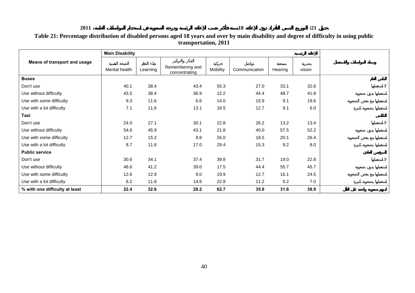| Table 21: Percentage distribution of disabled persons aged 18 years and over by main disability and degree of difficulty in using public |
|------------------------------------------------------------------------------------------------------------------------------------------|
| transportation, 2011                                                                                                                     |

|                                | <b>Main Disability</b> |          |                                  |          |               |         |        |  |  |  |  |
|--------------------------------|------------------------|----------|----------------------------------|----------|---------------|---------|--------|--|--|--|--|
| Means of transport and usage   | Mental health          | Learning | Remembering and<br>concentrating | Mobility | Communication | Hearing | vision |  |  |  |  |
| <b>Buses</b>                   |                        |          |                                  |          |               |         |        |  |  |  |  |
| Don't use                      | 40.1                   | 38.4     | 43.4                             | 55.3     | 27.0          | 33.1    | 32.6   |  |  |  |  |
| Use without difficulty         | 43.5                   | 38.4     | 36.9                             | 12.2     | 44.4          | 48.7    | 41.8   |  |  |  |  |
| Use with some difficulty       | 9.3                    | 11.6     | 6.6                              | 14.0     | 15.9          | 9.1     | 19.6   |  |  |  |  |
| Use with a lot difficulty      | 7.1                    | 11.6     | 13.1                             | 18.5     | 12.7          | 9.1     | 6.0    |  |  |  |  |
| Taxi                           |                        |          |                                  |          |               |         |        |  |  |  |  |
| Don't use                      | 24.0                   | 27.1     | 30.1                             | 22.8     | 26.2          | 13.2    | 13.4   |  |  |  |  |
| Use without difficulty         | 54.6                   | 45.9     | 43.1                             | 21.8     | 40.0          | 57.5    | 52.2   |  |  |  |  |
| Use with some difficulty       | 12.7                   | 15.2     | 9.8                              | 26.0     | 18.5          | 20.1    | 26.4   |  |  |  |  |
| Use with a lot difficulty      | 8.7                    | 11.8     | 17.0                             | 29.4     | 15.3          | 9.2     | 8.0    |  |  |  |  |
| <b>Public service</b>          |                        |          |                                  |          |               |         |        |  |  |  |  |
| Don't use                      | 30.6                   | 34.1     | 37.4                             | 39.8     | 31.7          | 19.0    | 22.8   |  |  |  |  |
| Use without difficulty         | 48.6                   | 41.2     | 39.0                             | 17.5     | 44.4          | 55.7    | 45.7   |  |  |  |  |
| Use with some difficulty       | 12.6                   | 12.9     | 9.0                              | 19.9     | 12.7          | 16.1    | 24.5   |  |  |  |  |
| Use with a lot difficulty      | 8.2                    | 11.8     | 14.6                             | 22.8     | 11.2          | 9.2     | 7.0    |  |  |  |  |
| % with one difficulty at least | 22.4                   | 32.6     | 28.2                             | 62.7     | 35.9          | 31.6    | 38.9   |  |  |  |  |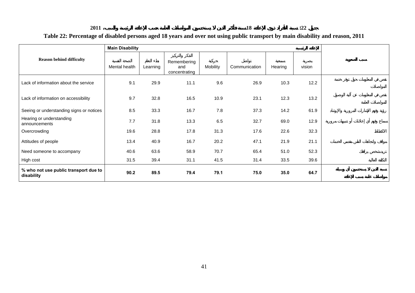#### **2011 18 :22 Table 22: Percentage of disabled persons aged 18 years and over not using public transport by main disability and reason, 2011**

|                                                     | <b>Main Disability</b> |          |                                     |          |               |         |        |  |
|-----------------------------------------------------|------------------------|----------|-------------------------------------|----------|---------------|---------|--------|--|
| <b>Reason behind difficulty</b>                     | Mental health          | Learning | Remembering<br>and<br>concentrating | Mobility | Communication | Hearing | vision |  |
| Lack of information about the service               | 9.1                    | 29.9     | 11.1                                | 9.6      | 26.9          | 10.3    | 12.2   |  |
| Lack of information on accessibility                | 9.7                    | 32.8     | 16.5                                | 10.9     | 23.1          | 12.3    | 13.2   |  |
| Seeing or understanding signs or notices            | 8.5                    | 33.3     | 16.7                                | 7.8      | 37.3          | 14.2    | 61.9   |  |
| Hearing or understanding<br>announcements           | 7.7                    | 31.8     | 13.3                                | 6.5      | 32.7          | 69.0    | 12.9   |  |
| Overcrowding                                        | 19.6                   | 28.8     | 17.8                                | 31.3     | 17.6          | 22.6    | 32.3   |  |
| Attitudes of people                                 | 13.4                   | 40.9     | 16.7                                | 20.2     | 47.1          | 21.9    | 21.1   |  |
| Need someone to accompany                           | 40.6                   | 63.6     | 58.9                                | 70.7     | 65.4          | 51.0    | 52.3   |  |
| High cost                                           | 31.5                   | 39.4     | 31.1                                | 41.5     | 31.4          | 33.5    | 39.6   |  |
| % who not use public transport due to<br>disability | 90.2                   | 89.5     | 79.4                                | 79.1     | 75.0          | 35.0    | 64.7   |  |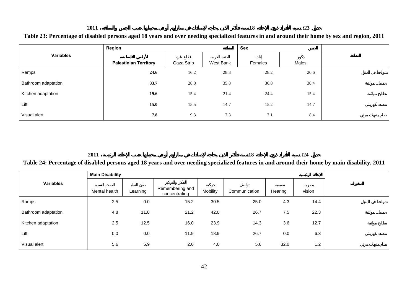#### **2011 18 :23 Table 23: Percentage of disabled persons aged 18 years and over needing specialized features in and around their home by sex and region, 2011**

|                     | Region                       |            |           | Sex     |       |  |
|---------------------|------------------------------|------------|-----------|---------|-------|--|
| <b>Variables</b>    | <b>Palestinian Territory</b> | Gaza Strip | West Bank | Females | Males |  |
| Ramps               | 24.6                         | 16.2       | 28.3      | 28.2    | 20.6  |  |
| Bathroom adaptation | 33.7                         | 28.8       | 35.8      | 36.8    | 30.4  |  |
| Kitchen adaptation  | 19.6                         | 15.4       | 21.4      | 24.4    | 15.4  |  |
| Lift                | 15.0                         | 15.5       | 14.7      | 15.2    | 14.7  |  |
| Visual alert        | 7.8                          | 9.3        | 7.3       | 7.1     | 8.4   |  |

**2011**

**18 :24**

#### **Table 24: Percentage of disabled persons aged 18 years and over needing specialized features in and around their home by main disability, 2011**

|                     | <b>Main Disability</b> |          |                                  |          |               |         |        |
|---------------------|------------------------|----------|----------------------------------|----------|---------------|---------|--------|
| <b>Variables</b>    | Mental health          | Learning | Remembering and<br>concentrating | Mobility | Communication | Hearing | vision |
| Ramps               | 2.5                    | 0.0      | 15.2                             | 30.5     | 25.0          | 4.3     | 14.4   |
| Bathroom adaptation | 4.8                    | 11.8     | 21.2                             | 42.0     | 26.7          | 7.5     | 22.3   |
| Kitchen adaptation  | 2.5                    | 12.5     | 16.0                             | 23.9     | 14.3          | 3.6     | 12.7   |
| Lift                | $0.0\,$                | 0.0      | 11.9                             | 18.9     | 26.7          | 0.0     | 6.3    |
| Visual alert        | 5.6                    | 5.9      | 2.6                              | 4.0      | 5.6           | 32.0    | 1.2    |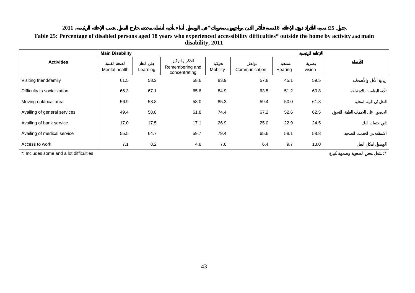#### **2011 \* 18 :25 Table 25: Percentage of disabled persons aged 18 years who experienced accessibility difficulties\* outside the home by activity and main disability, 2011**

|                              | <b>Main Disability</b> |          |                                  |          |               |         |        |  |
|------------------------------|------------------------|----------|----------------------------------|----------|---------------|---------|--------|--|
| <b>Activities</b>            | Mental health          | Learning | Remembering and<br>concentrating | Mobility | Communication | Hearing | vision |  |
| Visiting friend/family       | 61.5                   | 58.2     | 58.6                             | 83.9     | 57.8          | 45.1    | 59.5   |  |
| Difficulty in socialization  | 66.3                   | 67.1     | 65.6                             | 84.9     | 63.5          | 51.2    | 60.8   |  |
| Moving out/local area        | 56.9                   | 58.8     | 58.0                             | 85.3     | 59.4          | 50.0    | 61.8   |  |
| Availing of general services | 49.4                   | 58.8     | 61.8                             | 74.4     | 67.2          | 52.6    | 62.5   |  |
| Availing of bank service     | 17.0                   | 17.5     | 17.1                             | 26.9     | 25.0          | 22.9    | 24.5   |  |
| Availing of medical service  | 55.5                   | 64.7     | 59.7                             | 79.4     | 65.6          | 58.1    | 58.8   |  |
| Access to work               | 7.1                    | 8.2      | 4.8                              | 7.6      | 6.4           | 9.7     | 13.0   |  |

\*: Includes some and a lot difficulties : \*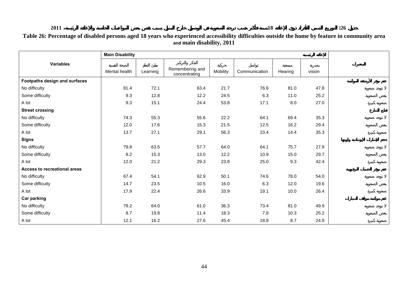|                               | <b>Main Disability</b> |          |                                  |          |               |         |        |
|-------------------------------|------------------------|----------|----------------------------------|----------|---------------|---------|--------|
| <b>Variables</b>              |                        |          |                                  |          |               |         |        |
|                               | Mental health          | Learning | Remembering and<br>concentrating | Mobility | Communication | Hearing | vision |
| Footpaths design and surfaces |                        |          |                                  |          |               |         |        |
| No difficulty                 | 81.4                   | 72.1     | 63.4                             | 21.7     | 76.6          | 81.0    | 47.8   |
| Some difficulty               | 9.3                    | 12.8     | 12.2                             | 24.5     | 6.3           | 11.0    | 25.2   |
| A lot                         | 9.3                    | 15.1     | 24.4                             | 53.8     | 17.1          | $8.0\,$ | 27.0   |
| <b>Street crossing</b>        |                        |          |                                  |          |               |         |        |
| No difficulty                 | 74.3                   | 55.3     | 55.6                             | 22.2     | 64.1          | 69.4    | 35.3   |
| Some difficulty               | 12.0                   | 17.6     | 15.3                             | 21.5     | 12.5          | 16.2    | 29.4   |
| A lot                         | 13.7                   | 27.1     | 29.1                             | 56.3     | 23.4          | 14.4    | 35.3   |
| <b>Signs</b>                  |                        |          |                                  |          |               |         |        |
| No difficulty                 | 79.8                   | 63.5     | 57.7                             | 64.0     | 64.1          | 75.7    | 27.9   |
| Some difficulty               | 8.2                    | 15.3     | 13.0                             | 12.2     | 10.9          | 15.0    | 29.7   |
| A lot                         | 12.0                   | 21.2     | 29.3                             | 23.8     | 25.0          | 9.3     | 42.4   |
| Access to recreational areas  |                        |          |                                  |          |               |         |        |
| No difficulty                 | 67.4                   | 54.1     | 62.9                             | 50.1     | 74.6          | 78.0    | 54.0   |
| Some difficulty               | 14.7                   | 23.5     | 10.5                             | 16.0     | 6.3           | 12.0    | 19.6   |
| A lot                         | 17.9                   | 22.4     | 26.6                             | 33.9     | 19.1          | 10.0    | 26.4   |
| <b>Car parking</b>            |                        |          |                                  |          |               |         |        |
| No difficulty                 | 79.2                   | 64.0     | 61.0                             | 36.3     | 73.4          | 81.0    | 49.9   |
| Some difficulty               | 8.7                    | 19.8     | 11.4                             | 18.3     | 7.8           | 10.3    | 25.2   |
| A lot                         | 12.1                   | 16.2     | 27.6                             | 45.4     | 18.8          | 8.7     | 24.9   |

#### **Table 26: Percentage of disabled persons aged 18 years who experienced accessibility difficulties outside the home by feature in community area and main disability, 2011**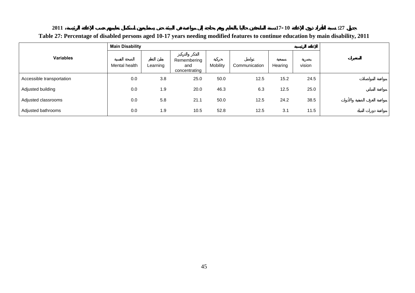### **17-10 :27**

#### **Table 27: Percentage of disabled persons aged 10-17 years needing modified features to continue education by main disability, 2011**

|                           | <b>Main Disability</b> |          |                                     |          |               |         |        |  |
|---------------------------|------------------------|----------|-------------------------------------|----------|---------------|---------|--------|--|
| <b>Variables</b>          | Mental health          | Learning | Remembering<br>and<br>concentrating | Mobility | Communication | Hearing | vision |  |
| Accessible transportation | 0.0                    | 3.8      | 25.0                                | 50.0     | 12.5          | 15.2    | 24.5   |  |
| Adjusted building         | 0.0                    | 1.9      | 20.0                                | 46.3     | 6.3           | 12.5    | 25.0   |  |
| Adjusted classrooms       | 0.0                    | 5.8      | 21.1                                | 50.0     | 12.5          | 24.2    | 38.5   |  |
| Adjusted bathrooms        | 0.0                    | 1.9      | 10.5                                | 52.8     | 12.5          | 3.1     | 11.5   |  |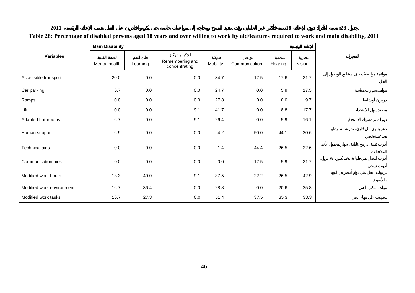#### **18 :28**

|                           | <b>Main Disability</b> |          |                                  |          |               |         |        |
|---------------------------|------------------------|----------|----------------------------------|----------|---------------|---------|--------|
| <b>Variables</b>          | Mental health          | Learning | Remembering and<br>concentrating | Mobility | Communication | Hearing | vision |
| Accessible transport      | 20.0                   | $0.0\,$  | $0.0\,$                          | 34.7     | 12.5          | 17.6    | 31.7   |
| Car parking               | 6.7                    | $0.0\,$  | 0.0                              | 24.7     | $0.0\,$       | 5.9     | 17.5   |
| Ramps                     | $0.0\,$                | $0.0\,$  | 0.0                              | 27.8     | $0.0\,$       | 0.0     | 9.7    |
| Lift                      | $0.0\,$                | $0.0\,$  | 9.1                              | 41.7     | $0.0\,$       | 8.8     | 17.7   |
| Adapted bathrooms         | 6.7                    | $0.0\,$  | 9.1                              | 26.4     | $0.0\,$       | 5.9     | 16.1   |
| Human support             | 6.9                    | $0.0\,$  | $0.0\,$                          | 4.2      | 50.0          | 44.1    | 20.6   |
| Technical aids            | 0.0                    | $0.0\,$  | $0.0\,$                          | 1.4      | 44.4          | 26.5    | 22.6   |
| Communication aids        | $0.0\,$                | $0.0\,$  | 0.0                              | $0.0\,$  | 12.5          | 5.9     | 31.7   |
| Modified work hours       | 13.3                   | 40.0     | 9.1                              | 37.5     | 22.2          | 26.5    | 42.9   |
| Modified work environment | 16.7                   | 36.4     | $0.0\,$                          | 28.8     | $0.0\,$       | 20.6    | 25.8   |
| Modified work tasks       | 16.7                   | 27.3     | 0.0                              | 51.4     | 37.5          | 35.3    | 33.3   |

#### **Table 28: Percentage of disabled persons aged 18 years and over willing to work by aid/features required to work and main disability, 2011**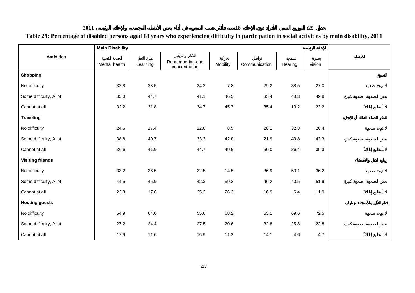| 2011<br>Table 29: Percentage of disabled persons aged 18 years who experiencing difficulty in participation in social activities by main disability, 2011 |                        |          |                                  |          |               |         | :29    |  |
|-----------------------------------------------------------------------------------------------------------------------------------------------------------|------------------------|----------|----------------------------------|----------|---------------|---------|--------|--|
|                                                                                                                                                           | <b>Main Disability</b> |          |                                  |          |               |         |        |  |
| <b>Activities</b>                                                                                                                                         | Mental health          | Learning | Remembering and<br>concentrating | Mobility | Communication | Hearing | vision |  |
| <b>Shopping</b>                                                                                                                                           |                        |          |                                  |          |               |         |        |  |
| No difficulty                                                                                                                                             | 32.8                   | 23.5     | 24.2                             | 7.8      | 29.2          | 38.5    | 27.0   |  |
| Some difficulty, A lot                                                                                                                                    | 35.0                   | 44.7     | 41.1                             | 46.5     | 35.4          | 48.3    | 49.8   |  |

23.2

30.3

11.9

Cannot at all 32.2 31.8 34.7 45.7 35.4 13.2 23.2

No difficulty 24.6 17.4 22.0 8.5 28.1 32.8 26.4

Some difficulty, A lot **198.8** 40.7 33.3 42.0 21.9 40.8 43.3

Cannot at all 36.6 41.9 44.7 49.5 50.0 26.4 30.3

No difficulty | 33.2 36.5 32.5 14.5 36.9 53.1 36.2 Some difficulty, A lot **45.9** 45.9 42.3 59.2 46.2 40.5 51.9

Cannot at all 22.3 17.6 25.2 26.3 16.9 6.4 11.9

No difficulty 54.9 64.0 55.6 68.2 53.1 69.6 72.5 Some difficulty, A lot **27.2** 24.4 27.5 20.6 32.8 25.8 22.8

Cannot at all | 17.9 11.6 16.9 11.2 14.1 4.6 4.7

**Traveling** 

**Visiting friends** 

**Hosting guests** 

|                | <b>2011</b>                                                                                                                                                                                                                                                                                                                                                                          | 18 | 20                                                                                                                                                                                                                                                                                                                                                                                                                                                                                    |
|----------------|--------------------------------------------------------------------------------------------------------------------------------------------------------------------------------------------------------------------------------------------------------------------------------------------------------------------------------------------------------------------------------------|----|---------------------------------------------------------------------------------------------------------------------------------------------------------------------------------------------------------------------------------------------------------------------------------------------------------------------------------------------------------------------------------------------------------------------------------------------------------------------------------------|
| <u>ת המיוח</u> | $\overline{1}$ $\overline{1}$ $\overline{1}$ $\overline{1}$ $\overline{1}$ $\overline{1}$ $\overline{1}$ $\overline{1}$ $\overline{1}$ $\overline{1}$ $\overline{1}$ $\overline{1}$ $\overline{1}$ $\overline{1}$ $\overline{1}$ $\overline{1}$ $\overline{1}$ $\overline{1}$ $\overline{1}$ $\overline{1}$ $\overline{1}$ $\overline{1}$ $\overline{1}$ $\overline{1}$ $\overline{$ |    | $\mathbf{A} \cdot \mathbf{A} \cdot \mathbf{A} \cdot \mathbf{A} \cdot \mathbf{A} \cdot \mathbf{A} \cdot \mathbf{A} \cdot \mathbf{A} \cdot \mathbf{A} \cdot \mathbf{A} \cdot \mathbf{A} \cdot \mathbf{A} \cdot \mathbf{A} \cdot \mathbf{A} \cdot \mathbf{A} \cdot \mathbf{A} \cdot \mathbf{A} \cdot \mathbf{A} \cdot \mathbf{A} \cdot \mathbf{A} \cdot \mathbf{A} \cdot \mathbf{A} \cdot \mathbf{A} \cdot \mathbf{A} \cdot \mathbf{A} \cdot \mathbf{A} \cdot \mathbf{A} \cdot \mathbf{$ |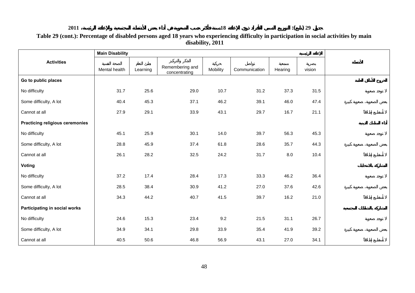#### **18 :( ) 29**

#### **Table 29 (cont.): Percentage of disabled persons aged 18 years who experiencing difficulty in participation in social activities by main disability, 2011**

|                                        | <b>Main Disability</b> |          |                                  |          |               |         |        |  |
|----------------------------------------|------------------------|----------|----------------------------------|----------|---------------|---------|--------|--|
| <b>Activities</b>                      | Mental health          | Learning | Remembering and<br>concentrating | Mobility | Communication | Hearing | vision |  |
| Go to public places                    |                        |          |                                  |          |               |         |        |  |
| No difficulty                          | 31.7                   | 25.6     | 29.0                             | 10.7     | 31.2          | 37.3    | 31.5   |  |
| Some difficulty, A lot                 | 40.4                   | 45.3     | 37.1                             | 46.2     | 39.1          | 46.0    | 47.4   |  |
| Cannot at all                          | 27.9                   | 29.1     | 33.9                             | 43.1     | 29.7          | 16.7    | 21.1   |  |
| <b>Practicing religious ceremonies</b> |                        |          |                                  |          |               |         |        |  |
| No difficulty                          | 45.1                   | 25.9     | 30.1                             | 14.0     | 39.7          | 56.3    | 45.3   |  |
| Some difficulty, A lot                 | 28.8                   | 45.9     | 37.4                             | 61.8     | 28.6          | 35.7    | 44.3   |  |
| Cannot at all                          | 26.1                   | 28.2     | 32.5                             | 24.2     | 31.7          | 8.0     | 10.4   |  |
| Voting                                 |                        |          |                                  |          |               |         |        |  |
| No difficulty                          | 37.2                   | 17.4     | 28.4                             | 17.3     | 33.3          | 46.2    | 36.4   |  |
| Some difficulty, A lot                 | 28.5                   | 38.4     | 30.9                             | 41.2     | 27.0          | 37.6    | 42.6   |  |
| Cannot at all                          | 34.3                   | 44.2     | 40.7                             | 41.5     | 39.7          | 16.2    | 21.0   |  |
| Participating in social works          |                        |          |                                  |          |               |         |        |  |
| No difficulty                          | 24.6                   | 15.3     | 23.4                             | 9.2      | 21.5          | 31.1    | 26.7   |  |
| Some difficulty, A lot                 | 34.9                   | 34.1     | 29.8                             | 33.9     | 35.4          | 41.9    | 39.2   |  |
| Cannot at all                          | 40.5                   | 50.6     | 46.8                             | 56.9     | 43.1          | 27.0    | 34.1   |  |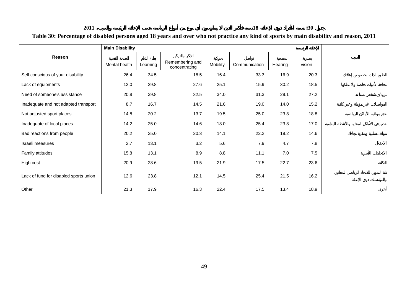#### **18 :30**

**Table 30: Percentage of disabled persons aged 18 years and over who not practice any kind of sports by main disability and reason, 2011** 

|                                        | <b>Main Disability</b> |          |                                  |          |               |         |        |  |
|----------------------------------------|------------------------|----------|----------------------------------|----------|---------------|---------|--------|--|
| Reason                                 | Mental health          | Learning | Remembering and<br>concentrating | Mobility | Communication | Hearing | vision |  |
| Self conscious of your disability      | 26.4                   | 34.5     | 18.5                             | 16.4     | 33.3          | 16.9    | 20.3   |  |
| Lack of equipments                     | 12.0                   | 29.8     | 27.6                             | 25.1     | 15.9          | 30.2    | 18.5   |  |
| Need of someone's assistance           | 20.8                   | 39.8     | 32.5                             | 34.0     | 31.3          | 29.1    | 27.2   |  |
| Inadequate and not adapted transport   | 8.7                    | 16.7     | 14.5                             | 21.6     | 19.0          | 14.0    | 15.2   |  |
| Not adjusted sport places              | 14.8                   | 20.2     | 13.7                             | 19.5     | 25.0          | 23.8    | 18.8   |  |
| Inadequate of local places             | 14.2                   | 25.0     | 14.6                             | 18.0     | 25.4          | 23.8    | 17.0   |  |
| Bad reactions from people              | 20.2                   | 25.0     | 20.3                             | 14.1     | 22.2          | 19.2    | 14.6   |  |
| Israeli measures                       | 2.7                    | 13.1     | 3.2                              | 5.6      | 7.9           | 4.7     | 7.8    |  |
| Family attitudes                       | 15.8                   | 13.1     | 8.9                              | 8.8      | 11.1          | $7.0\,$ | 7.5    |  |
| High cost                              | 20.9                   | 28.6     | 19.5                             | 21.9     | 17.5          | 22.7    | 23.6   |  |
| Lack of fund for disabled sports union | 12.6                   | 23.8     | 12.1                             | 14.5     | 25.4          | 21.5    | 16.2   |  |
| Other                                  | 21.3                   | 17.9     | 16.3                             | 22.4     | 17.5          | 13.4    | 18.9   |  |